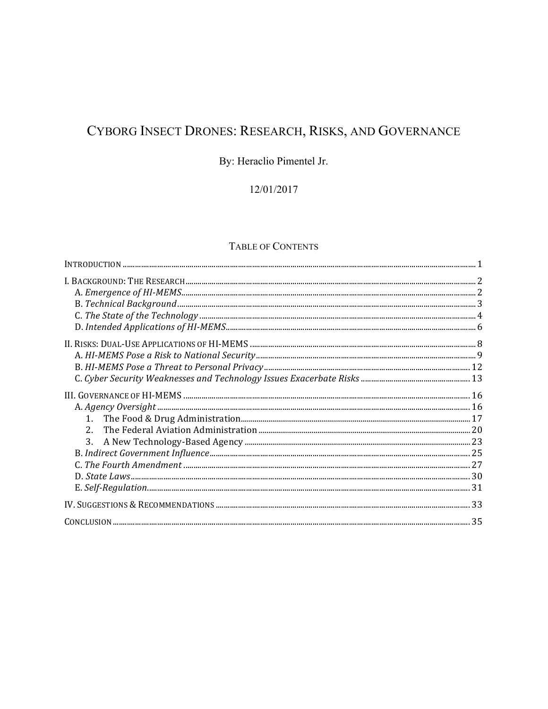# CYBORG INSECT DRONES: RESEARCH, RISKS, AND GOVERNANCE

## By: Heraclio Pimentel Jr.

## 12/01/2017

## TABLE OF CONTENTS

| $2^{\circ}$ |  |
|-------------|--|
| 3.          |  |
|             |  |
|             |  |
|             |  |
|             |  |
|             |  |
|             |  |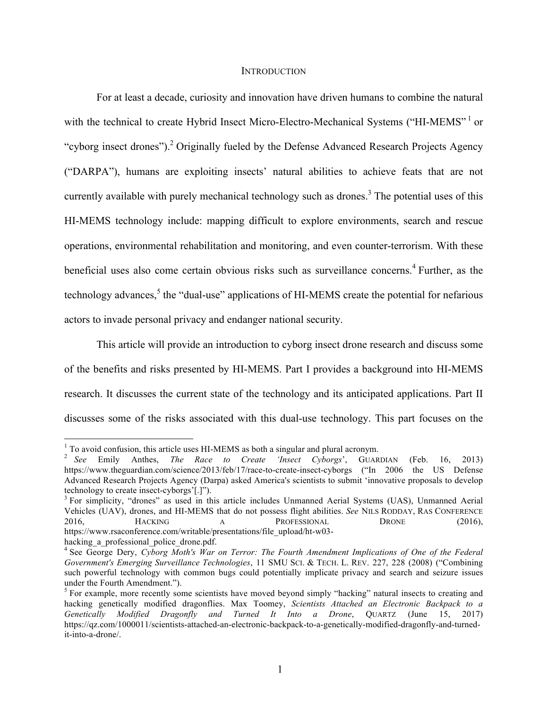#### **INTRODUCTION**

For at least a decade, curiosity and innovation have driven humans to combine the natural with the technical to create Hybrid Insect Micro-Electro-Mechanical Systems ("HI-MEMS"<sup>1</sup> or "cyborg insect drones").<sup>2</sup> Originally fueled by the Defense Advanced Research Projects Agency ("DARPA"), humans are exploiting insects' natural abilities to achieve feats that are not currently available with purely mechanical technology such as drones.<sup>3</sup> The potential uses of this HI-MEMS technology include: mapping difficult to explore environments, search and rescue operations, environmental rehabilitation and monitoring, and even counter-terrorism. With these beneficial uses also come certain obvious risks such as surveillance concerns.<sup>4</sup> Further, as the technology advances,<sup>5</sup> the "dual-use" applications of HI-MEMS create the potential for nefarious actors to invade personal privacy and endanger national security.

This article will provide an introduction to cyborg insect drone research and discuss some of the benefits and risks presented by HI-MEMS. Part I provides a background into HI-MEMS research. It discusses the current state of the technology and its anticipated applications. Part II discusses some of the risks associated with this dual-use technology. This part focuses on the

<sup>1</sup> To avoid confusion, this article uses HI-MEMS as both a singular and plural acronym. <sup>2</sup> *See* Emily Anthes, *The Race to Create 'Insect Cyborgs*', GUARDIAN (Feb. 16, 2013) https://www.theguardian.com/science/2013/feb/17/race-to-create-insect-cyborgs ("In 2006 the US Defense Advanced Research Projects Agency (Darpa) asked America's scientists to submit 'innovative proposals to develop technology to create insect-cyborgs'[.]").<br> $3$  For simplicity, "drones" as used in this article includes Unmanned Aerial Systems (UAS), Unmanned Aerial

Vehicles (UAV), drones, and HI-MEMS that do not possess flight abilities. *See* NILS RODDAY, RAS CONFERENCE 2016, HACKING A PROFESSIONAL DRONE (2016), https://www.rsaconference.com/writable/presentations/file\_upload/ht-w03 hacking\_a\_professional\_police\_drone.pdf.<br><sup>4</sup> See George Dery, *Cyborg Moth's War on Terror: The Fourth Amendment Implications of One of the Federal* 

*Government's Emerging Surveillance Technologies*, 11 SMU SCI. & TECH. L. REV. 227, 228 (2008) ("Combining such powerful technology with common bugs could potentially implicate privacy and search and seizure issues under the Fourth Amendment.").<br><sup>5</sup> For example, more recently some scientists have moved beyond simply "hacking" natural insects to creating and

hacking genetically modified dragonflies. Max Toomey, *Scientists Attached an Electronic Backpack to a Genetically Modified Dragonfly and Turned It Into a Drone*, QUARTZ (June 15, 2017) https://qz.com/1000011/scientists-attached-an-electronic-backpack-to-a-genetically-modified-dragonfly-and-turnedit-into-a-drone/.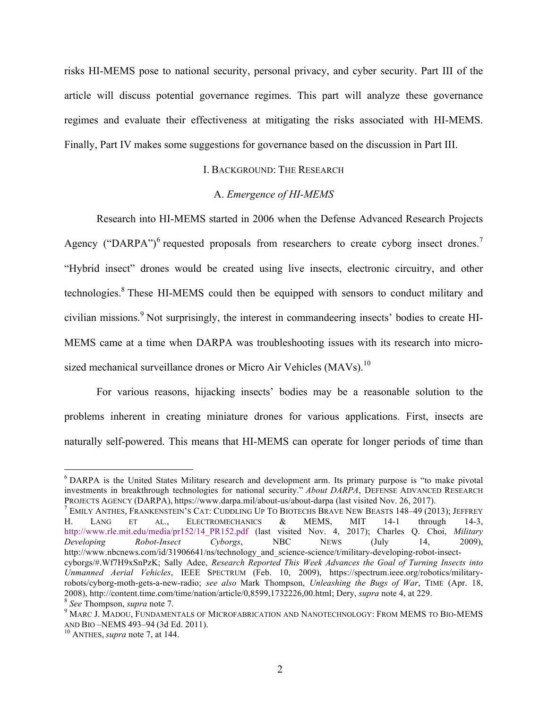risks HI-MEMS pose to national security, personal privacy, and cyber security. Part III of the article will discuss potential governance regimes. This part will analyze these governance regimes and evaluate their effectiveness at mitigating the risks associated with HI-MEMS. Finally, Part IV makes some suggestions for governance based on the discussion in Part III.

## I. BACKGROUND: THE RESEARCH

#### A. *Emergence of HI-MEMS*

Research into HI-MEMS started in 2006 when the Defense Advanced Research Projects Agency ("DARPA")<sup>6</sup> requested proposals from researchers to create cyborg insect drones.<sup>7</sup> "Hybrid insect" drones would be created using live insects, electronic circuitry, and other technologies.8 These HI-MEMS could then be equipped with sensors to conduct military and civilian missions.<sup>9</sup> Not surprisingly, the interest in commandeering insects' bodies to create HI-MEMS came at a time when DARPA was troubleshooting issues with its research into microsized mechanical surveillance drones or Micro Air Vehicles (MAVs).<sup>10</sup>

For various reasons, hijacking insects' bodies may be a reasonable solution to the problems inherent in creating miniature drones for various applications. First, insects are naturally self-powered. This means that HI-MEMS can operate for longer periods of time than

<sup>&</sup>lt;sup>6</sup> DARPA is the United States Military research and development arm. Its primary purpose is "to make pivotal investments in breakthrough technologies for national security." *About DARPA*, DEFENSE ADVANCED RESEARCH

PROJECTS AGENCY (DARPA), https://www.darpa.mil/about-us/about-darpa (last visited Nov. 26, 2017).<br>
<sup>7</sup> EMILY ANTHES, FRANKENSTEIN'S CAT: CUDDLING UP TO BIOTECHS BRAVE NEW BEASTS 148–49 (2013); JEFFREY<br>
H. LANG ET AL., ELEC H. LANG ET AL., ELECTROMECHANICS & MEMS, MIT 14-1 through http://www.rle.mit.edu/media/pr152/14\_PR152.pdf (last visited Nov. 4, 2017); Charles Q. Choi, *Military Developing Robot-Insect Cyborgs*, NBC NEWS (July 14, 2009), http://www.nbcnews.com/id/31906641/ns/technology\_and\_science-science/t/military-developing-robot-insectcyborgs/#.Wf7H9xSnPzK; Sally Adee, *Research Reported This Week Advances the Goal of Turning Insects into Unmanned Aerial Vehicles*, IEEE SPECTRUM (Feb. 10, 2009), https://spectrum.ieee.org/robotics/militaryrobots/cyborg-moth-gets-a-new-radio; *see also* Mark Thompson, *Unleashing the Bugs of War*, TIME (Apr. 18, 2008), http://content.time.com/time/nation/article/0,8599,1732226,00.html; Dery, *supra* note 4, at 229.<br><sup>8</sup> See Thompson, *supra* note 7.<br><sup>9</sup> MARC J. MADOU, FUNDAMENTALS OF MICROFABRICATION AND NANOTECHNOLOGY: FROM MEMS T

AND BIO –NEMS 493–94 (3d Ed. 2011). 10 ANTHES, *supra* note 7, at 144.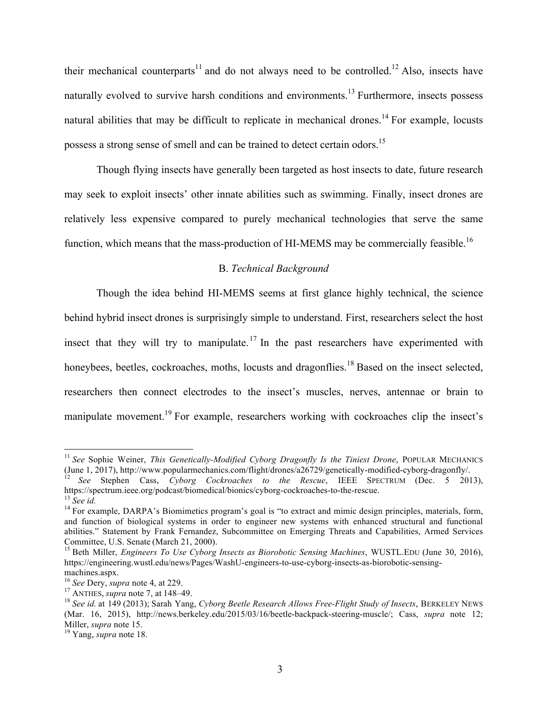their mechanical counterparts<sup>11</sup> and do not always need to be controlled.<sup>12</sup> Also, insects have naturally evolved to survive harsh conditions and environments.<sup>13</sup> Furthermore, insects possess natural abilities that may be difficult to replicate in mechanical drones.<sup>14</sup> For example, locusts possess a strong sense of smell and can be trained to detect certain odors.<sup>15</sup>

Though flying insects have generally been targeted as host insects to date, future research may seek to exploit insects' other innate abilities such as swimming. Finally, insect drones are relatively less expensive compared to purely mechanical technologies that serve the same function, which means that the mass-production of HI-MEMS may be commercially feasible.<sup>16</sup>

## B. *Technical Background*

Though the idea behind HI-MEMS seems at first glance highly technical, the science behind hybrid insect drones is surprisingly simple to understand. First, researchers select the host insect that they will try to manipulate.<sup>17</sup> In the past researchers have experimented with honeybees, beetles, cockroaches, moths, locusts and dragonflies.<sup>18</sup> Based on the insect selected, researchers then connect electrodes to the insect's muscles, nerves, antennae or brain to manipulate movement.<sup>19</sup> For example, researchers working with cockroaches clip the insect's

<sup>&</sup>lt;sup>11</sup> See Sophie Weiner, *This Genetically-Modified Cyborg Dragonfly Is the Tiniest Drone*, POPULAR MECHANICS

<sup>(</sup>June 1, 2017), http://www.popularmechanics.com/flight/drones/a26729/genetically-modified-cyborg-dragonfly/.<br><sup>12</sup> *See* Stephen Cass, *Cyborg Cockroaches to the Rescue*, IEEE SPECTRUM (Dec. 5 2013), https://spectrum.ieee.o

<sup>&</sup>lt;sup>13</sup> See *id.* <sup>14</sup> For example, DARPA's Biomimetics program's goal is "to extract and mimic design principles, materials, form, and function of biological systems in order to engineer new systems with enhanced structural and functional abilities." Statement by Frank Fernandez, Subcommittee on Emerging Threats and Capabilities, Armed Services Committee, U.S. Senate (March 21, 2000).<br><sup>15</sup> Beth Miller, *Engineers To Use Cyborg Insects as Biorobotic Sensing Machines*, WUSTL.EDU (June 30, 2016),

https://engineering.wustl.edu/news/Pages/WashU-engineers-to-use-cyborg-insects-as-biorobotic-sensing-

machines.aspx.<br><sup>16</sup> See Dery, *supra* note 4, at 229.<br><sup>17</sup> ANTHES, *supra* note 7, at 148–49.<br><sup>18</sup> See id. at 149 (2013); Sarah Yang, *Cyborg Beetle Research Allows Free-Flight Study of Insects*, BERKELEY NEWS (Mar. 16, 2015), http://news.berkeley.edu/2015/03/16/beetle-backpack-steering-muscle/; Cass, *supra* note 12; Miller, *supra* note 15. <sup>19</sup> Yang, *supra* note 18.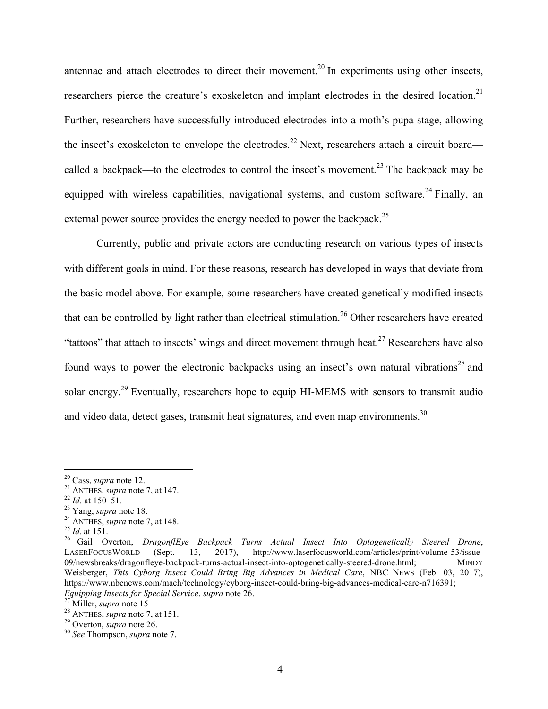antennae and attach electrodes to direct their movement.<sup>20</sup> In experiments using other insects, researchers pierce the creature's exoskeleton and implant electrodes in the desired location.<sup>21</sup> Further, researchers have successfully introduced electrodes into a moth's pupa stage, allowing the insect's exoskeleton to envelope the electrodes.<sup>22</sup> Next, researchers attach a circuit board called a backpack—to the electrodes to control the insect's movement.<sup>23</sup> The backpack may be equipped with wireless capabilities, navigational systems, and custom software.<sup>24</sup> Finally, an external power source provides the energy needed to power the backpack.<sup>25</sup>

Currently, public and private actors are conducting research on various types of insects with different goals in mind. For these reasons, research has developed in ways that deviate from the basic model above. For example, some researchers have created genetically modified insects that can be controlled by light rather than electrical stimulation.<sup>26</sup> Other researchers have created "tattoos" that attach to insects' wings and direct movement through heat.<sup>27</sup> Researchers have also found ways to power the electronic backpacks using an insect's own natural vibrations<sup>28</sup> and solar energy.<sup>29</sup> Eventually, researchers hope to equip HI-MEMS with sensors to transmit audio and video data, detect gases, transmit heat signatures, and even map environments.<sup>30</sup>

<sup>&</sup>lt;sup>20</sup> Cass, *supra* note 12.<br>
<sup>21</sup> ANTHES, *supra* note 7, at 147.<br>
<sup>22</sup> *Id.* at 150–51.<br>
<sup>23</sup> Yang, *supra* note 18.<br>
<sup>24</sup> ANTHES, *supra* note 7, at 148.<br>
<sup>25</sup> *Id.* at 151.<br>
<sup>25</sup> Gail Overton, *DragonflEye Backpack Tur* LASERFOCUSWORLD (Sept. 13, 2017), http://www.laserfocusworld.com/articles/print/volume-53/issue-09/newsbreaks/dragonfleye-backpack-turns-actual-insect-into-optogenetically-steered-drone.html; MINDY Weisberger, *This Cyborg Insect Could Bring Big Advances in Medical Care*, NBC NEWS (Feb. 03, 2017), https://www.nbcnews.com/mach/technology/cyborg-insect-could-bring-big-advances-medical-care-n716391; *Equipping Insects for Special Service*, *supra* note 26. <sup>27</sup> Miller, *supra* note 15 <sup>28</sup> ANTHES, *supra* note 7, at 151. <sup>29</sup> Overton, *supra* note 26. <sup>30</sup> *See* Thompson, *supra* note 7.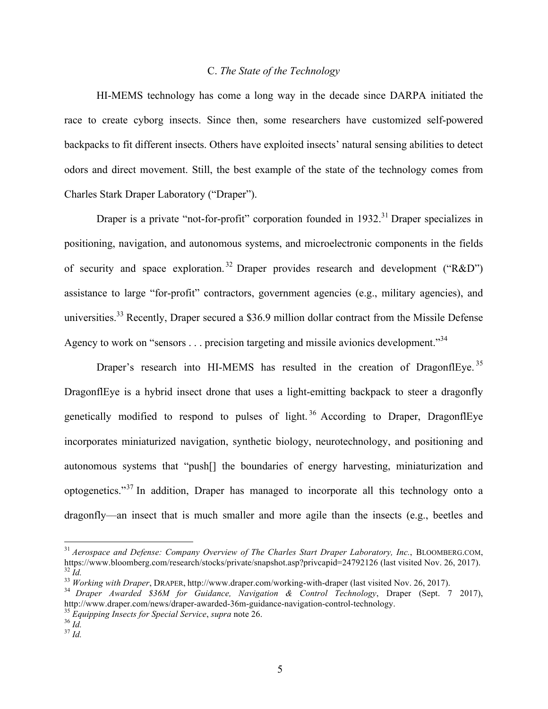## C. *The State of the Technology*

HI-MEMS technology has come a long way in the decade since DARPA initiated the race to create cyborg insects. Since then, some researchers have customized self-powered backpacks to fit different insects. Others have exploited insects' natural sensing abilities to detect odors and direct movement. Still, the best example of the state of the technology comes from Charles Stark Draper Laboratory ("Draper").

Draper is a private "not-for-profit" corporation founded in  $1932$ <sup>31</sup> Draper specializes in positioning, navigation, and autonomous systems, and microelectronic components in the fields of security and space exploration.<sup>32</sup> Draper provides research and development ("R&D") assistance to large "for-profit" contractors, government agencies (e.g., military agencies), and universities.<sup>33</sup> Recently, Draper secured a \$36.9 million dollar contract from the Missile Defense Agency to work on "sensors  $\ldots$  precision targeting and missile avionics development."<sup>34</sup>

Draper's research into HI-MEMS has resulted in the creation of DragonflEye.<sup>35</sup> DragonflEye is a hybrid insect drone that uses a light-emitting backpack to steer a dragonfly genetically modified to respond to pulses of light.<sup>36</sup> According to Draper, DragonflEye incorporates miniaturized navigation, synthetic biology, neurotechnology, and positioning and autonomous systems that "push[] the boundaries of energy harvesting, miniaturization and optogenetics."<sup>37</sup> In addition, Draper has managed to incorporate all this technology onto a dragonfly––an insect that is much smaller and more agile than the insects (e.g., beetles and

<sup>&</sup>lt;sup>31</sup> *Aerospace and Defense: Company Overview of The Charles Start Draper Laboratory, Inc.*, BLOOMBERG.COM, https://www.bloomberg.com/research/stocks/private/snapshot.asp?privcapid=24792126 (last visited Nov. 26, 2017). 33 *Id.*<br><sup>33</sup> Working with Draper, DRAPER, http://www.draper.com/working-with-draper (last visited Nov. 26, 2017).<br><sup>34</sup> Draper Awarded \$36M for Guidance, Navigation & Control Technology, Draper (Sept. 7 2017),

http://www.draper.com/news/draper-awarded-36m-guidance-navigation-control-technology. 35 *Equipping Insects for Special Service*, *supra* note 26. <sup>36</sup> *Id.* <sup>37</sup> *Id.*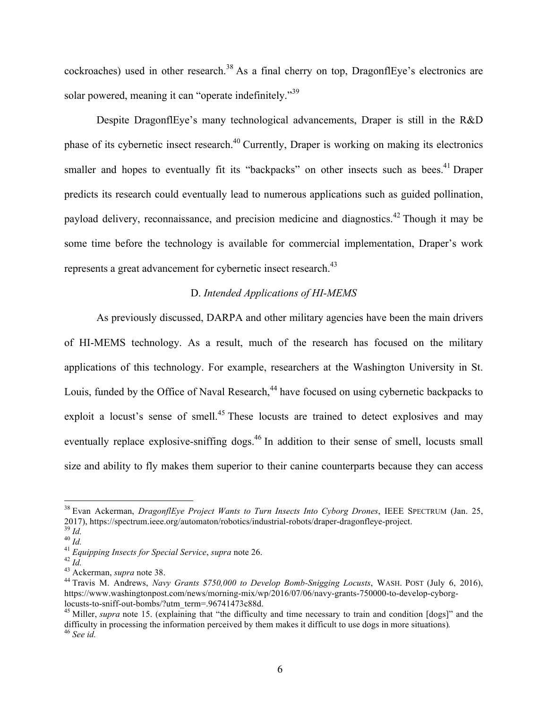cockroaches) used in other research.<sup>38</sup> As a final cherry on top, DragonflEye's electronics are solar powered, meaning it can "operate indefinitely."<sup>39</sup>

Despite DragonflEye's many technological advancements, Draper is still in the R&D phase of its cybernetic insect research.<sup>40</sup> Currently, Draper is working on making its electronics smaller and hopes to eventually fit its "backpacks" on other insects such as bees.<sup>41</sup> Draper predicts its research could eventually lead to numerous applications such as guided pollination, payload delivery, reconnaissance, and precision medicine and diagnostics.<sup>42</sup> Though it may be some time before the technology is available for commercial implementation, Draper's work represents a great advancement for cybernetic insect research.<sup>43</sup>

#### D. *Intended Applications of HI-MEMS*

As previously discussed, DARPA and other military agencies have been the main drivers of HI-MEMS technology. As a result, much of the research has focused on the military applications of this technology. For example, researchers at the Washington University in St. Louis, funded by the Office of Naval Research,<sup>44</sup> have focused on using cybernetic backpacks to exploit a locust's sense of smell.<sup>45</sup> These locusts are trained to detect explosives and may eventually replace explosive-sniffing dogs.<sup>46</sup> In addition to their sense of smell, locusts small size and ability to fly makes them superior to their canine counterparts because they can access

<sup>&</sup>lt;sup>38</sup> Evan Ackerman, *DragonflEye Project Wants to Turn Insects Into Cyborg Drones*, IEEE SPECTRUM (Jan. 25, 2017), https://spectrum.ieee.org/automaton/robotics/industrial-robots/draper-dragonfleye-project.

<sup>&</sup>lt;sup>39</sup> Id.<br>
<sup>40</sup> Id.<br>
<sup>41</sup> Equipping Insects for Special Service, supra note 26.<br>
<sup>42</sup> Id.<br>
<sup>43</sup> Ackerman, *supra* note 38.<br>
<sup>44</sup> Travis M. Andrews, *Navy Grants \$750,000 to Develop Bomb-Snigging Locusts*, WASH. POST (July https://www.washingtonpost.com/news/morning-mix/wp/2016/07/06/navy-grants-750000-to-develop-cyborg-

<sup>&</sup>lt;sup>45</sup> Miller, *supra* note 15. (explaining that "the difficulty and time necessary to train and condition  $[dos]$ " and the difficulty in processing the information perceived by them makes it difficult to use dogs in more situations)*.* <sup>46</sup> *See id.*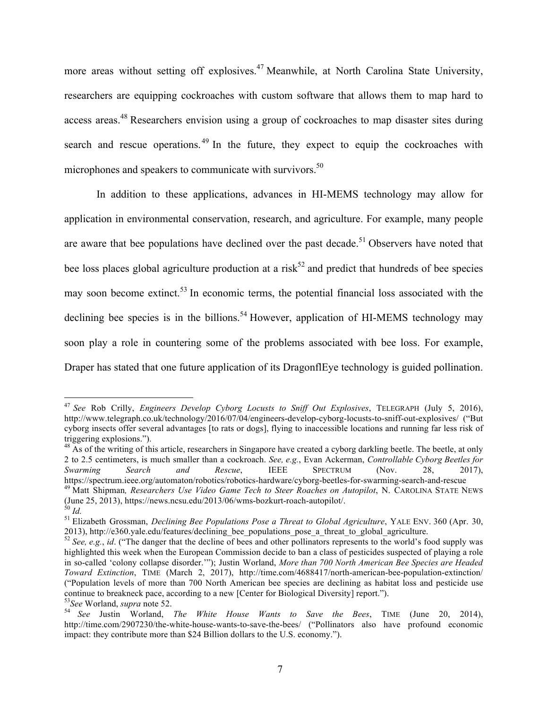more areas without setting off explosives.<sup>47</sup> Meanwhile, at North Carolina State University, researchers are equipping cockroaches with custom software that allows them to map hard to access areas.<sup>48</sup> Researchers envision using a group of cockroaches to map disaster sites during search and rescue operations.<sup>49</sup> In the future, they expect to equip the cockroaches with microphones and speakers to communicate with survivors.<sup>50</sup>

In addition to these applications, advances in HI-MEMS technology may allow for application in environmental conservation, research, and agriculture. For example, many people are aware that bee populations have declined over the past decade.<sup>51</sup> Observers have noted that bee loss places global agriculture production at a risk<sup>52</sup> and predict that hundreds of bee species may soon become extinct.<sup>53</sup> In economic terms, the potential financial loss associated with the declining bee species is in the billions.<sup>54</sup> However, application of HI-MEMS technology may soon play a role in countering some of the problems associated with bee loss. For example, Draper has stated that one future application of its DragonflEye technology is guided pollination.

 <sup>47</sup> *See* Rob Crilly, *Engineers Develop Cyborg Locusts to Sniff Out Explosives*, TELEGRAPH (July 5, 2016), http://www.telegraph.co.uk/technology/2016/07/04/engineers-develop-cyborg-locusts-to-sniff-out-explosives/ ("But cyborg insects offer several advantages [to rats or dogs], flying to inaccessible locations and running far less risk of triggering explosions.").

<sup>&</sup>lt;sup>48</sup> As of the writing of this article, researchers in Singapore have created a cyborg darkling beetle. The beetle, at only 2 to 2.5 centimeters, is much smaller than a cockroach. *See, e.g.*, Evan Ackerman, *Controllable Cyborg Beetles for Swarming Search and Rescue*, IEEE SPECTRUM (Nov. 28, 2017),

https://spectrum.ieee.org/automaton/robotics/robotics-hardware/cyborg-beetles-for-swarming-search-and-rescue <sup>49</sup> Matt Shipman, *Researchers Use Video Game Tech to Steer Roaches on Autopilot*, N. CAROLINA STATE NEWS (June

<sup>&</sup>lt;sup>50</sup> *Id.*<br><sup>51</sup> Elizabeth Grossman, *Declining Bee Populations Pose a Threat to Global Agriculture*, YALE ENV. 360 (Apr. 30, 2013), http://e360.yale.edu/features/declining bee populations pose a threat to global agricultur

 $\frac{1}{52}$  See, e.g., *id.* ("The danger that the decline of bees and other pollinators represents to the world's food supply was highlighted this week when the European Commission decide to ban a class of pesticides suspected of playing a role in so-called 'colony collapse disorder.'"); Justin Worland, *More than 700 North American Bee Species are Headed Toward Extinction*, TIME (March 2, 2017), http://time.com/4688417/north-american-bee-population-extinction/ ("Population levels of more than 700 North American bee species are declining as habitat loss and pesticide use continue to breakneck pace, according to a new [Center for Biological Diversity] report.").<br><sup>53</sup>See Worland, *supra* note 52.<br><sup>54</sup> See Justin Worland, *The White House Wants to Save the Bees*, TIME (June 20, 2014),

http://time.com/2907230/the-white-house-wants-to-save-the-bees/ ("Pollinators also have profound economic impact: they contribute more than \$24 Billion dollars to the U.S. economy.").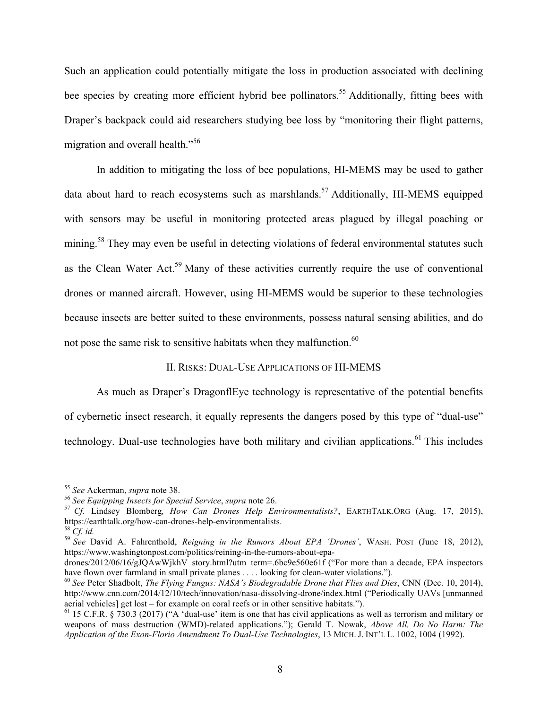Such an application could potentially mitigate the loss in production associated with declining bee species by creating more efficient hybrid bee pollinators.<sup>55</sup> Additionally, fitting bees with Draper's backpack could aid researchers studying bee loss by "monitoring their flight patterns, migration and overall health."<sup>56</sup>

In addition to mitigating the loss of bee populations, HI-MEMS may be used to gather data about hard to reach ecosystems such as marshlands.<sup>57</sup> Additionally, HI-MEMS equipped with sensors may be useful in monitoring protected areas plagued by illegal poaching or mining.<sup>58</sup> They may even be useful in detecting violations of federal environmental statutes such as the Clean Water Act.<sup>59</sup> Many of these activities currently require the use of conventional drones or manned aircraft. However, using HI-MEMS would be superior to these technologies because insects are better suited to these environments, possess natural sensing abilities, and do not pose the same risk to sensitive habitats when they malfunction.<sup>60</sup>

#### II. RISKS: DUAL-USE APPLICATIONS OF HI-MEMS

As much as Draper's DragonflEye technology is representative of the potential benefits of cybernetic insect research, it equally represents the dangers posed by this type of "dual-use" technology. Dual-use technologies have both military and civilian applications.<sup>61</sup> This includes

<sup>&</sup>lt;sup>55</sup> See Ackerman, *supra* note 38.<br><sup>56</sup> See Equipping Insects for Special Service, supra note 26.<br><sup>57</sup> Cf. Lindsey Blomberg, *How Can Drones Help Environmentalists*?, EARTHTALK.ORG (Aug. 17, 2015), https://earthtalk.org/how-can-drones-help-environmentalists.<br><sup>58</sup> *Cf. id.* 59 *See* David A. Fahrenthold, *Reigning in the Rumors About EPA 'Drones'*, WASH. POST (June 18, 2012),

https://www.washingtonpost.com/politics/reining-in-the-rumors-about-epa-

drones/2012/06/16/gJQAwWjkhV\_story.html?utm\_term=.6bc9e560e61f ("For more than a decade, EPA inspectors have flown over farmland in small private planes . . . . looking for clean-water violations.").

<sup>&</sup>lt;sup>60</sup> See Peter Shadbolt, *The Flying Fungus: NASA's Biodegradable Drone that Flies and Dies*, CNN (Dec. 10, 2014), http://www.cnn.com/2014/12/10/tech/innovation/nasa-dissolving-drone/index.html ("Periodically UAVs [unmanned aerial vehicles] get lost – for example on coral reefs or in other sensitive habitats.").<br><sup>61</sup> 15 C.F.R. § 730.3 (2017) ("A 'dual-use' item is one that has civil applications as well as terrorism and military or

weapons of mass destruction (WMD)-related applications."); Gerald T. Nowak, *Above All, Do No Harm: The Application of the Exon-Florio Amendment To Dual-Use Technologies*, 13 MICH. J. INT'L L. 1002, 1004 (1992).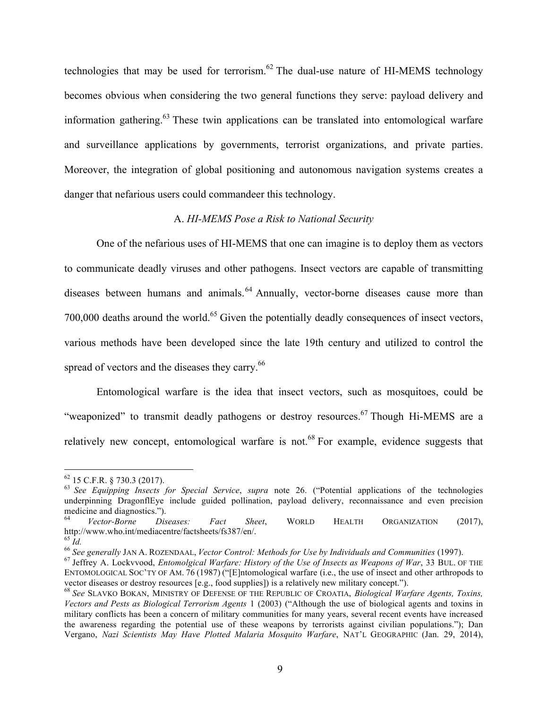technologies that may be used for terrorism.<sup>62</sup> The dual-use nature of HI-MEMS technology becomes obvious when considering the two general functions they serve: payload delivery and information gathering.63 These twin applications can be translated into entomological warfare and surveillance applications by governments, terrorist organizations, and private parties. Moreover, the integration of global positioning and autonomous navigation systems creates a danger that nefarious users could commandeer this technology.

## A. *HI-MEMS Pose a Risk to National Security*

One of the nefarious uses of HI-MEMS that one can imagine is to deploy them as vectors to communicate deadly viruses and other pathogens. Insect vectors are capable of transmitting diseases between humans and animals.<sup>64</sup> Annually, vector-borne diseases cause more than 700,000 deaths around the world.<sup>65</sup> Given the potentially deadly consequences of insect vectors, various methods have been developed since the late 19th century and utilized to control the spread of vectors and the diseases they carry.<sup>66</sup>

Entomological warfare is the idea that insect vectors, such as mosquitoes, could be "weaponized" to transmit deadly pathogens or destroy resources.<sup>67</sup> Though Hi-MEMS are a relatively new concept, entomological warfare is not.<sup>68</sup> For example, evidence suggests that

<sup>62</sup> 15 C.F.R. § 730.3 (2017). 63 *See Equipping Insects for Special Service*, *supra* note 26. ("Potential applications of the technologies underpinning DragonflEye include guided pollination, payload delivery, reconnaissance and even precision medicine and diagnostics.").

<sup>64</sup> *Vector-Borne Diseases: Fact Sheet*, WORLD HEALTH ORGANIZATION (2017), http://www.who.int/mediacentre/factsheets/fs387/en/.<br><sup>65</sup> Id.<br><sup>66</sup> See generally JAN A. ROZENDAAL, *Vector Control: Methods for Use by Individuals and Communities* (1997).<br><sup>67</sup> Jeffrev A. Lockvvood, *Entomolgical Warfare:* 

ENTOMOLOGICAL SOC'TY OF AM. 76 (1987) ("[E]ntomological warfare (i.e., the use of insect and other arthropods to vector diseases or destroy resources [e.g., food supplies]) is a relatively new military concept."). <sup>68</sup> *See* SLAVKO BOKAN, MINISTRY OF DEFENSE OF THE REPUBLIC OF CROATIA, *Biological Warfare Agents, Toxins,* 

*Vectors and Pests as Biological Terrorism Agents* 1 (2003) ("Although the use of biological agents and toxins in military conflicts has been a concern of military communities for many years, several recent events have increased the awareness regarding the potential use of these weapons by terrorists against civilian populations."); Dan Vergano, *Nazi Scientists May Have Plotted Malaria Mosquito Warfare*, NAT'L GEOGRAPHIC (Jan. 29, 2014),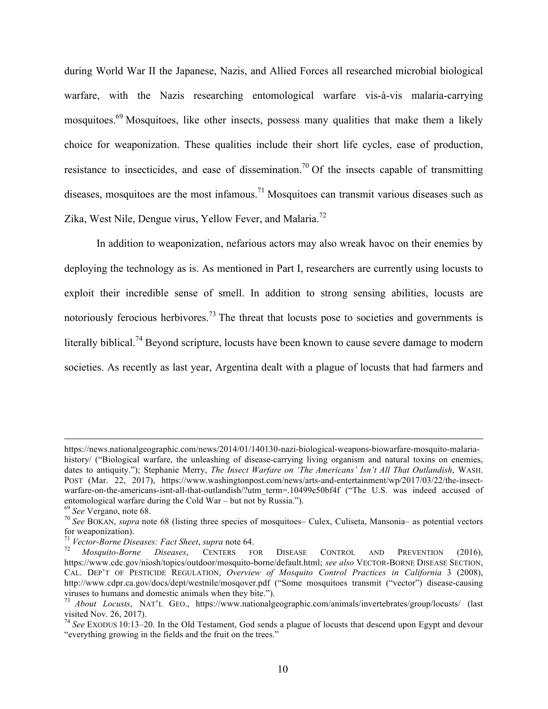during World War II the Japanese, Nazis, and Allied Forces all researched microbial biological warfare, with the Nazis researching entomological warfare vis-à-vis malaria-carrying mosquitoes.<sup>69</sup> Mosquitoes, like other insects, possess many qualities that make them a likely choice for weaponization. These qualities include their short life cycles, ease of production, resistance to insecticides, and ease of dissemination.<sup>70</sup> Of the insects capable of transmitting diseases, mosquitoes are the most infamous.<sup>71</sup> Mosquitoes can transmit various diseases such as Zika, West Nile, Dengue virus, Yellow Fever, and Malaria.<sup>72</sup>

In addition to weaponization, nefarious actors may also wreak havoc on their enemies by deploying the technology as is. As mentioned in Part I, researchers are currently using locusts to exploit their incredible sense of smell. In addition to strong sensing abilities, locusts are notoriously ferocious herbivores.<sup>73</sup> The threat that locusts pose to societies and governments is literally biblical.<sup>74</sup> Beyond scripture, locusts have been known to cause severe damage to modern societies. As recently as last year, Argentina dealt with a plague of locusts that had farmers and

https://news.nationalgeographic.com/news/2014/01/140130-nazi-biological-weapons-biowarfare-mosquito-malariahistory/ ("Biological warfare, the unleashing of disease-carrying living organism and natural toxins on enemies, dates to antiquity."); Stephanie Merry, *The Insect Warfare on 'The Americans' Isn't All That Outlandish*, WASH. POST (Mar. 22, 2017), https://www.washingtonpost.com/news/arts-and-entertainment/wp/2017/03/22/the-insectwarfare-on-the-americans-isnt-all-that-outlandish/?utm\_term=.10499e50bf4f ("The U.S. was indeed accused of entomological warfare during the Cold War – but not by Russia.").<br>
<sup>69</sup> See Vergano, note 68.<br>
<sup>70</sup> See BOKAN, *supra* note 68 (listing three species of mosquitoes– Culex, Culiseta, Mansonia– as potential vectors

for weaponization).

<sup>71</sup> *Vector-Borne Diseases: Fact Sheet*, *supra* note 64. <sup>72</sup> *Mosquito-Borne Diseases*, CENTERS FOR DISEASE CONTROL AND PREVENTION (2016), https://www.cdc.gov/niosh/topics/outdoor/mosquito-borne/default.html; *see also* VECTOR-BORNE DISEASE SECTION, CAL. DEP'T OF PESTICIDE REGULATION, *Overview of Mosquito Control Practices in California* 3 (2008), http://www.cdpr.ca.gov/docs/dept/westnile/mosqover.pdf ("Some mosquitoes transmit ("vector") disease-causing viruses to humans and domestic animals when they bite.").

<sup>73</sup> *About Locusts*, NAT'L GEO., https://www.nationalgeographic.com/animals/invertebrates/group/locusts/ (last visited Nov. 26, 2017).

<sup>74</sup> *See* EXODUS 10:13–20. In the Old Testament, God sends a plague of locusts that descend upon Egypt and devour "everything growing in the fields and the fruit on the trees."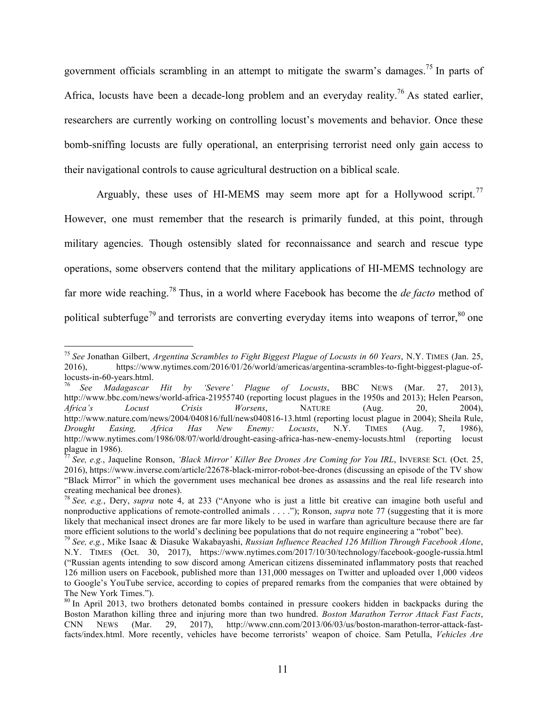government officials scrambling in an attempt to mitigate the swarm's damages.<sup>75</sup> In parts of Africa, locusts have been a decade-long problem and an everyday reality.<sup>76</sup> As stated earlier, researchers are currently working on controlling locust's movements and behavior. Once these bomb-sniffing locusts are fully operational, an enterprising terrorist need only gain access to their navigational controls to cause agricultural destruction on a biblical scale.

Arguably, these uses of HI-MEMS may seem more apt for a Hollywood script.<sup>77</sup> However, one must remember that the research is primarily funded, at this point, through military agencies. Though ostensibly slated for reconnaissance and search and rescue type operations, some observers contend that the military applications of HI-MEMS technology are far more wide reaching.<sup>78</sup> Thus, in a world where Facebook has become the *de facto* method of political subterfuge<sup>79</sup> and terrorists are converting everyday items into weapons of terror,  $80$  one

 <sup>75</sup> *See* Jonathan Gilbert, *Argentina Scrambles to Fight Biggest Plague of Locusts in 60 Years*, N.Y. TIMES (Jan. 25, 2016), https://www.nytimes.com/2016/01/26/world/americas/argentina-scrambles-to-fight-biggest-plague-oflocusts-in-60-years.html. 76 *See Madagascar Hit by 'Severe' Plague of Locusts*, BBC NEWS (Mar. 27, 2013),

http://www.bbc.com/news/world-africa-21955740 (reporting locust plagues in the 1950s and 2013); Helen Pearson, *Africa's Locust Crisis Worsens*, NATURE (Aug. 20, 2004), http://www.nature.com/news/2004/040816/full/news040816-13.html (reporting locust plague in 2004); Sheila Rule, *Drought Easing, Africa Has New Enemy: Locusts*, N.Y. TIMES (Aug. 7, 1986), http://www.nytimes.com/1986/08/07/world/drought-easing-africa-has-new-enemy-locusts.html (reporting locust plague in 1986).

<sup>77</sup> *See, e.g.*, Jaqueline Ronson, *'Black Mirror' Killer Bee Drones Are Coming for You IRL*, INVERSE SCI. (Oct. 25, 2016), https://www.inverse.com/article/22678-black-mirror-robot-bee-drones (discussing an episode of the TV show "Black Mirror" in which the government uses mechanical bee drones as assassins and the real life research into creating mechanical bee drones).

<sup>78</sup> *See, e.g.*, Dery, *supra* note 4, at 233 ("Anyone who is just a little bit creative can imagine both useful and nonproductive applications of remote-controlled animals . . . ."); Ronson, *supra* note 77 (suggesting that it is more likely that mechanical insect drones are far more likely to be used in warfare than agriculture because there are far more efficient solutions to the world's declining bee populations that do not require engineering a "robot" bee).<br><sup>79</sup> See, e.g., Mike Isaac & Diasuke Wakabayashi, *Russian Influence Reached 126 Million Through Facebook A* 

N.Y. TIMES (Oct. 30, 2017), https://www.nytimes.com/2017/10/30/technology/facebook-google-russia.html ("Russian agents intending to sow discord among American citizens disseminated inflammatory posts that reached 126 million users on Facebook, published more than 131,000 messages on Twitter and uploaded over 1,000 videos to Google's YouTube service, according to copies of prepared remarks from the companies that were obtained by The New York Times.").

<sup>&</sup>lt;sup>80</sup> In April 2013, two brothers detonated bombs contained in pressure cookers hidden in backpacks during the Boston Marathon killing three and injuring more than two hundred. *Boston Marathon Terror Attack Fast Facts*, CNN NEWS (Mar. 29, 2017), http://www.cnn.com/2013/06/03/us/boston-marathon-terror-attack-fastfacts/index.html. More recently, vehicles have become terrorists' weapon of choice. Sam Petulla, *Vehicles Are*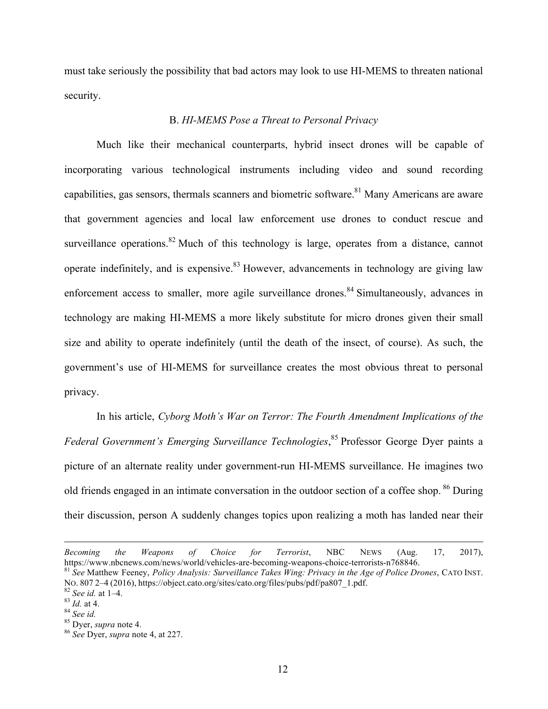must take seriously the possibility that bad actors may look to use HI-MEMS to threaten national security.

## B. *HI-MEMS Pose a Threat to Personal Privacy*

Much like their mechanical counterparts, hybrid insect drones will be capable of incorporating various technological instruments including video and sound recording capabilities, gas sensors, thermals scanners and biometric software.<sup>81</sup> Many Americans are aware that government agencies and local law enforcement use drones to conduct rescue and surveillance operations.<sup>82</sup> Much of this technology is large, operates from a distance, cannot operate indefinitely, and is expensive.  $83$  However, advancements in technology are giving law enforcement access to smaller, more agile surveillance drones.<sup>84</sup> Simultaneously, advances in technology are making HI-MEMS a more likely substitute for micro drones given their small size and ability to operate indefinitely (until the death of the insect, of course). As such, the government's use of HI-MEMS for surveillance creates the most obvious threat to personal privacy.

In his article, *Cyborg Moth's War on Terror: The Fourth Amendment Implications of the*  Federal Government's Emerging Surveillance Technologies,<sup>85</sup> Professor George Dyer paints a picture of an alternate reality under government-run HI-MEMS surveillance. He imagines two old friends engaged in an intimate conversation in the outdoor section of a coffee shop. <sup>86</sup> During their discussion, person A suddenly changes topics upon realizing a moth has landed near their

<u>.</u>

*Becoming the Weapons of Choice for Terrorist*, NBC NEWS (Aug. 17, 2017), https://www.nbcnews.com/news/world/vehicles-are-becoming-weapons-choice-terrorists-n768846.<br><sup>81</sup> See Matthew Feeney, *Policy Analysis: Surveillance Takes Wing: Privacy in the Age of Police Drones*, CATO INST.

No. 807 2–4 (2016), https://object.cato.org/sites/cato.org/files/pubs/pdf/pa807\_1.pdf.<br><sup>82</sup> See id. at 1–4.<br><sup>83</sup> Id. at 4.<br><sup>83</sup> Id. at 4.<br><sup>83</sup> See id.<br><sup>85</sup> Dyer, *supra* note 4. at 227.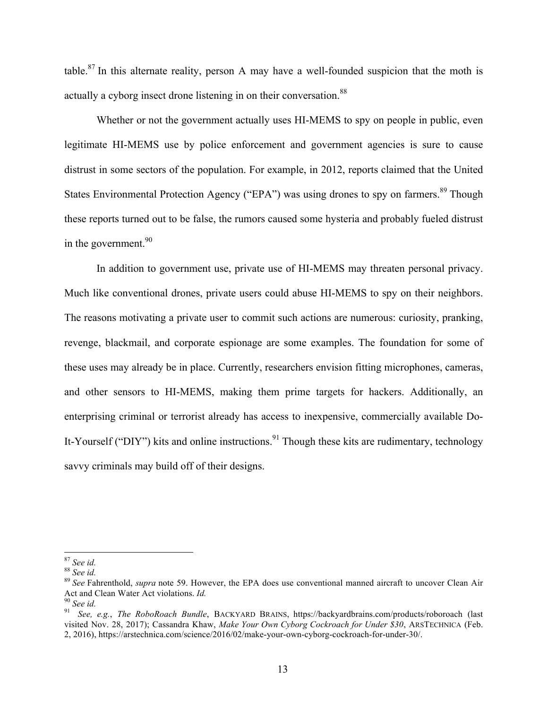table.<sup>87</sup> In this alternate reality, person A may have a well-founded suspicion that the moth is actually a cyborg insect drone listening in on their conversation.<sup>88</sup>

Whether or not the government actually uses HI-MEMS to spy on people in public, even legitimate HI-MEMS use by police enforcement and government agencies is sure to cause distrust in some sectors of the population. For example, in 2012, reports claimed that the United States Environmental Protection Agency ("EPA") was using drones to spy on farmers.<sup>89</sup> Though these reports turned out to be false, the rumors caused some hysteria and probably fueled distrust in the government.  $90$ 

In addition to government use, private use of HI-MEMS may threaten personal privacy. Much like conventional drones, private users could abuse HI-MEMS to spy on their neighbors. The reasons motivating a private user to commit such actions are numerous: curiosity, pranking, revenge, blackmail, and corporate espionage are some examples. The foundation for some of these uses may already be in place. Currently, researchers envision fitting microphones, cameras, and other sensors to HI-MEMS, making them prime targets for hackers. Additionally, an enterprising criminal or terrorist already has access to inexpensive, commercially available Do-It-Yourself ("DIY") kits and online instructions.<sup>91</sup> Though these kits are rudimentary, technology savvy criminals may build off of their designs.

<sup>&</sup>lt;sup>87</sup> *See id.*<br><sup>88</sup> *See id.*<br><sup>89</sup> *See Fahrenthold, <i>supra* note 59. However, the EPA does use conventional manned aircraft to uncover Clean Air Act and Clean Water Act violations. *Id.*<br><sup>90</sup> *See id.* 

Act and Clean Water Act violations. *Id.* <sup>90</sup> *See id.* 91 *See, e.g.*, *The RoboRoach Bundle*, BACKYARD BRAINS, https://backyardbrains.com/products/roboroach (last visited Nov. 28, 2017); Cassandra Khaw, *Make Your Own Cyborg Cockroach for Under \$30*, ARSTECHNICA (Feb. 2, 2016), https://arstechnica.com/science/2016/02/make-your-own-cyborg-cockroach-for-under-30/.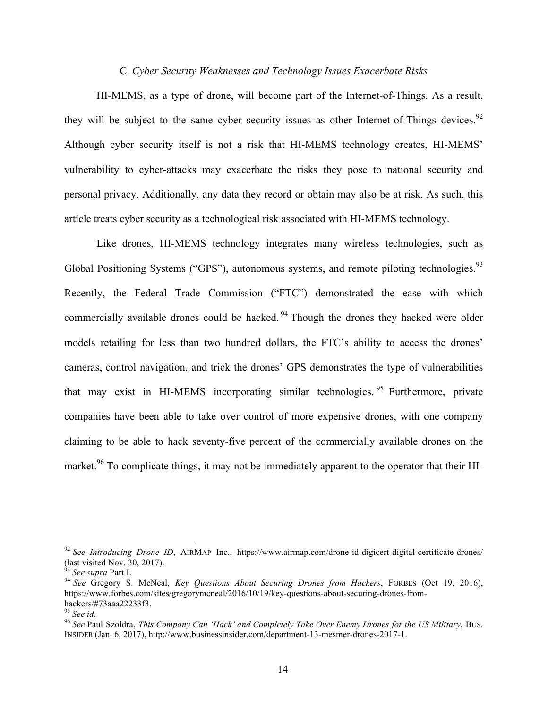## C. *Cyber Security Weaknesses and Technology Issues Exacerbate Risks*

HI-MEMS, as a type of drone, will become part of the Internet-of-Things. As a result, they will be subject to the same cyber security issues as other Internet-of-Things devices.<sup>92</sup> Although cyber security itself is not a risk that HI-MEMS technology creates, HI-MEMS' vulnerability to cyber-attacks may exacerbate the risks they pose to national security and personal privacy. Additionally, any data they record or obtain may also be at risk. As such, this article treats cyber security as a technological risk associated with HI-MEMS technology.

Like drones, HI-MEMS technology integrates many wireless technologies, such as Global Positioning Systems ("GPS"), autonomous systems, and remote piloting technologies.<sup>93</sup> Recently, the Federal Trade Commission ("FTC") demonstrated the ease with which commercially available drones could be hacked.<sup>94</sup> Though the drones they hacked were older models retailing for less than two hundred dollars, the FTC's ability to access the drones' cameras, control navigation, and trick the drones' GPS demonstrates the type of vulnerabilities that may exist in HI-MEMS incorporating similar technologies. <sup>95</sup> Furthermore, private companies have been able to take over control of more expensive drones, with one company claiming to be able to hack seventy-five percent of the commercially available drones on the market.<sup>96</sup> To complicate things, it may not be immediately apparent to the operator that their HI-

<sup>&</sup>lt;sup>92</sup> See Introducing Drone ID, AIRMAP Inc., https://www.airmap.com/drone-id-digicert-digital-certificate-drones/ (last visited Nov. 30, 2017).<br> $\frac{93}{93}$  See supra Part I.

<sup>&</sup>lt;sup>94</sup> See Gregory S. McNeal, *Key Questions About Securing Drones from Hackers*, FORBES (Oct 19, 2016), https://www.forbes.com/sites/gregorymcneal/2016/10/19/key-questions-about-securing-drones-fromhackers/#73aaa22233f3.<br><sup>95</sup> See id.

<sup>&</sup>lt;sup>96</sup> See Paul Szoldra, *This Company Can 'Hack' and Completely Take Over Enemy Drones for the US Military*, BUS. INSIDER (Jan. 6, 2017), http://www.businessinsider.com/department-13-mesmer-drones-2017-1.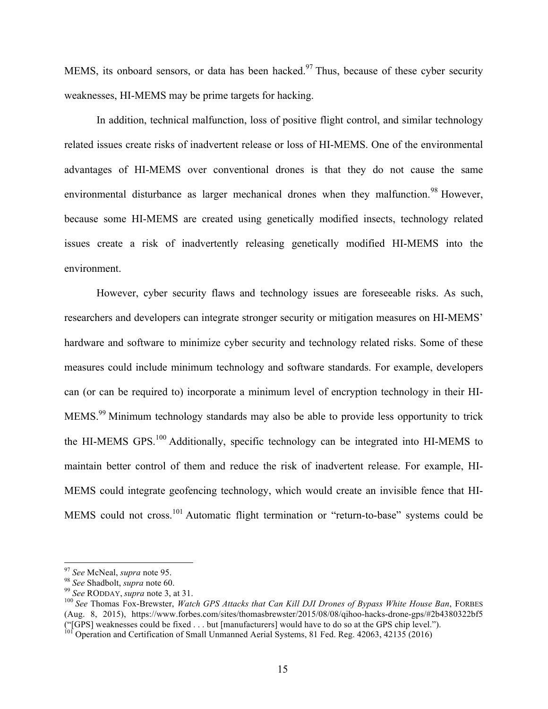MEMS, its onboard sensors, or data has been hacked.<sup>97</sup> Thus, because of these cyber security weaknesses, HI-MEMS may be prime targets for hacking.

In addition, technical malfunction, loss of positive flight control, and similar technology related issues create risks of inadvertent release or loss of HI-MEMS. One of the environmental advantages of HI-MEMS over conventional drones is that they do not cause the same environmental disturbance as larger mechanical drones when they malfunction.<sup>98</sup> However, because some HI-MEMS are created using genetically modified insects, technology related issues create a risk of inadvertently releasing genetically modified HI-MEMS into the environment.

However, cyber security flaws and technology issues are foreseeable risks. As such, researchers and developers can integrate stronger security or mitigation measures on HI-MEMS' hardware and software to minimize cyber security and technology related risks. Some of these measures could include minimum technology and software standards. For example, developers can (or can be required to) incorporate a minimum level of encryption technology in their HI-MEMS.<sup>99</sup> Minimum technology standards may also be able to provide less opportunity to trick the HI-MEMS GPS.<sup>100</sup> Additionally, specific technology can be integrated into HI-MEMS to maintain better control of them and reduce the risk of inadvertent release. For example, HI-MEMS could integrate geofencing technology, which would create an invisible fence that HI-MEMS could not cross.<sup>101</sup> Automatic flight termination or "return-to-base" systems could be

<sup>&</sup>lt;sup>97</sup> See McNeal, *supra* note 95.<br><sup>98</sup> See Shadbolt, *supra* note 60.<br><sup>99</sup> See RODDAY, *supra* note 3, at 31.<br><sup>100</sup> See Thomas Fox-Brewster, *Watch GPS Attacks that Can Kill DJI Drones of Bypass White House Ban*, FORBES (Aug. 8, 2015), https://www.forbes.com/sites/thomasbrewster/2015/08/08/qihoo-hacks-drone-gps/#2b4380322bf5 ("[GPS] weaknesses could be fixed . . . but [manufacturers] would have to do so at the GPS chip level.").

<sup>101</sup> Operation and Certification of Small Unmanned Aerial Systems, 81 Fed. Reg. 42063, 42135 (2016)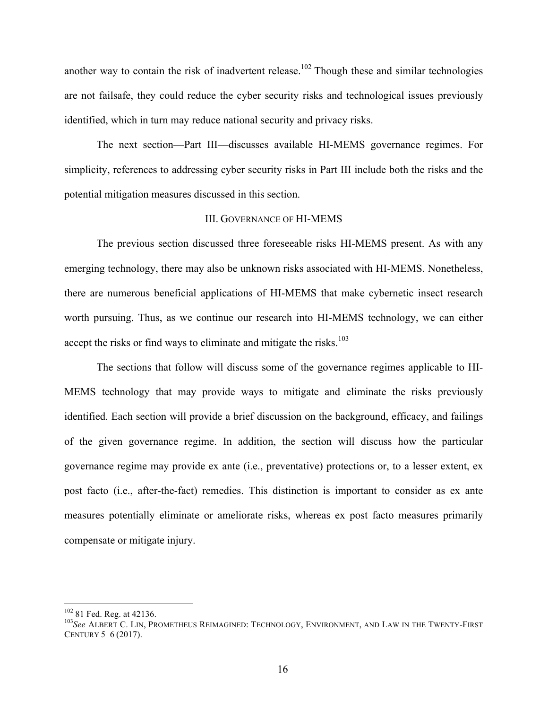another way to contain the risk of inadvertent release.<sup>102</sup> Though these and similar technologies are not failsafe, they could reduce the cyber security risks and technological issues previously identified, which in turn may reduce national security and privacy risks.

The next section––Part III––discusses available HI-MEMS governance regimes. For simplicity, references to addressing cyber security risks in Part III include both the risks and the potential mitigation measures discussed in this section.

## III. GOVERNANCE OF HI-MEMS

The previous section discussed three foreseeable risks HI-MEMS present. As with any emerging technology, there may also be unknown risks associated with HI-MEMS. Nonetheless, there are numerous beneficial applications of HI-MEMS that make cybernetic insect research worth pursuing. Thus, as we continue our research into HI-MEMS technology, we can either accept the risks or find ways to eliminate and mitigate the risks.<sup>103</sup>

The sections that follow will discuss some of the governance regimes applicable to HI-MEMS technology that may provide ways to mitigate and eliminate the risks previously identified. Each section will provide a brief discussion on the background, efficacy, and failings of the given governance regime. In addition, the section will discuss how the particular governance regime may provide ex ante (i.e., preventative) protections or, to a lesser extent, ex post facto (i.e., after-the-fact) remedies. This distinction is important to consider as ex ante measures potentially eliminate or ameliorate risks, whereas ex post facto measures primarily compensate or mitigate injury.

<sup>&</sup>lt;sup>102</sup> 81 Fed. Reg. at 42136.<br><sup>103</sup>*See* ALBERT C. LIN, PROMETHEUS REIMAGINED: TECHNOLOGY, ENVIRONMENT, AND LAW IN THE TWENTY-FIRST CENTURY 5–6 (2017).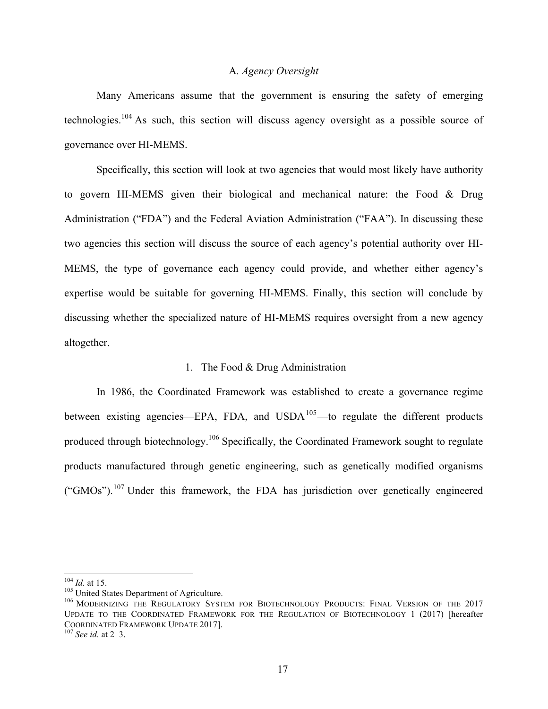#### A*. Agency Oversight*

Many Americans assume that the government is ensuring the safety of emerging technologies.<sup>104</sup> As such, this section will discuss agency oversight as a possible source of governance over HI-MEMS.

Specifically, this section will look at two agencies that would most likely have authority to govern HI-MEMS given their biological and mechanical nature: the Food & Drug Administration ("FDA") and the Federal Aviation Administration ("FAA"). In discussing these two agencies this section will discuss the source of each agency's potential authority over HI-MEMS, the type of governance each agency could provide, and whether either agency's expertise would be suitable for governing HI-MEMS. Finally, this section will conclude by discussing whether the specialized nature of HI-MEMS requires oversight from a new agency altogether.

#### 1. The Food & Drug Administration

In 1986, the Coordinated Framework was established to create a governance regime between existing agencies—EPA, FDA, and  $\text{USDA}^{105}$ —to regulate the different products produced through biotechnology.106 Specifically, the Coordinated Framework sought to regulate products manufactured through genetic engineering, such as genetically modified organisms ("GMOs").<sup>107</sup> Under this framework, the FDA has jurisdiction over genetically engineered

<sup>&</sup>lt;sup>104</sup> *Id.* at 15.<br><sup>105</sup> United States Department of Agriculture.<br><sup>106</sup> MODERNIZING THE REGULATORY SYSTEM FOR BIOTECHNOLOGY PRODUCTS: FINAL VERSION OF THE 2017 UPDATE TO THE COORDINATED FRAMEWORK FOR THE REGULATION OF BIOTECHNOLOGY 1 (2017) [hereafter COORDINATED FRAMEWORK UPDATE 2017]. <sup>107</sup> *See id.* at 2–3.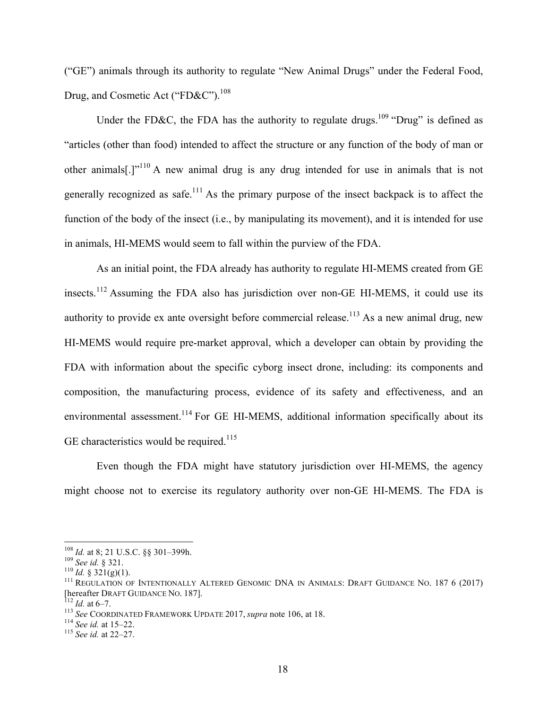("GE") animals through its authority to regulate "New Animal Drugs" under the Federal Food, Drug, and Cosmetic Act ("FD&C").<sup>108</sup>

Under the FD&C, the FDA has the authority to regulate drugs.<sup>109</sup> "Drug" is defined as "articles (other than food) intended to affect the structure or any function of the body of man or other animals[.]"<sup>110</sup> A new animal drug is any drug intended for use in animals that is not generally recognized as safe.<sup>111</sup> As the primary purpose of the insect backpack is to affect the function of the body of the insect (i.e., by manipulating its movement), and it is intended for use in animals, HI-MEMS would seem to fall within the purview of the FDA.

As an initial point, the FDA already has authority to regulate HI-MEMS created from GE insects.<sup>112</sup> Assuming the FDA also has jurisdiction over non-GE HI-MEMS, it could use its authority to provide ex ante oversight before commercial release.<sup>113</sup> As a new animal drug, new HI-MEMS would require pre-market approval, which a developer can obtain by providing the FDA with information about the specific cyborg insect drone, including: its components and composition, the manufacturing process, evidence of its safety and effectiveness, and an environmental assessment.<sup>114</sup> For GE HI-MEMS, additional information specifically about its GE characteristics would be required.<sup>115</sup>

Even though the FDA might have statutory jurisdiction over HI-MEMS, the agency might choose not to exercise its regulatory authority over non-GE HI-MEMS. The FDA is

<sup>&</sup>lt;sup>108</sup> *Id.* at 8; 21 U.S.C. §§ 301–399h.<br><sup>109</sup> *See id.* § 321.<br><sup>110</sup> *Id.* § 321(g)(1).<br><sup>111</sup> REGULATION OF INTENTIONALLY ALTERED GENOMIC DNA IN ANIMALS: DRAFT GUIDANCE NO. 187 6 (2017)<br><sup>112</sup> *Id.* at 6–7.<br><sup>112</sup> *Id.* at

<sup>113</sup> *See* COORDINATED FRAMEWORK UPDATE 2017, *supra* note 106, at 18.<br><sup>114</sup> *See id.* at 15–22.<br><sup>115</sup> *See id.* at 22–27.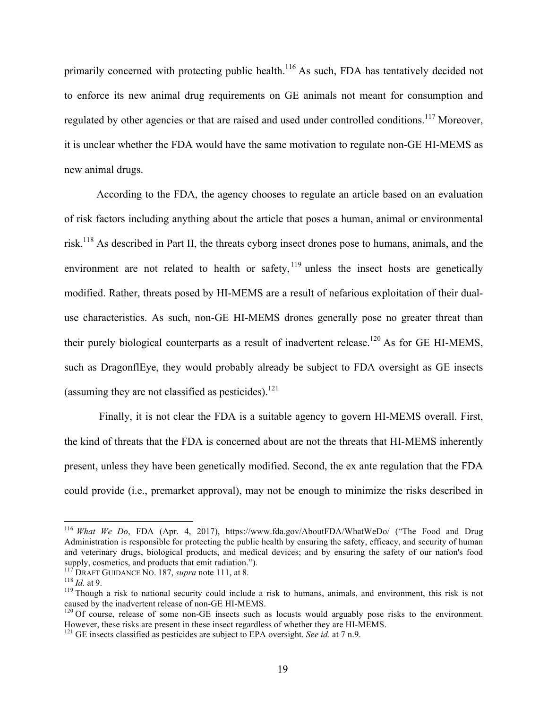primarily concerned with protecting public health.<sup>116</sup> As such, FDA has tentatively decided not to enforce its new animal drug requirements on GE animals not meant for consumption and regulated by other agencies or that are raised and used under controlled conditions.<sup>117</sup> Moreover, it is unclear whether the FDA would have the same motivation to regulate non-GE HI-MEMS as new animal drugs.

According to the FDA, the agency chooses to regulate an article based on an evaluation of risk factors including anything about the article that poses a human, animal or environmental risk.118 As described in Part II, the threats cyborg insect drones pose to humans, animals, and the environment are not related to health or safety,  $119$  unless the insect hosts are genetically modified. Rather, threats posed by HI-MEMS are a result of nefarious exploitation of their dualuse characteristics. As such, non-GE HI-MEMS drones generally pose no greater threat than their purely biological counterparts as a result of inadvertent release.<sup>120</sup> As for GE HI-MEMS, such as DragonflEye, they would probably already be subject to FDA oversight as GE insects (assuming they are not classified as pesticides).<sup>121</sup>

Finally, it is not clear the FDA is a suitable agency to govern HI-MEMS overall. First, the kind of threats that the FDA is concerned about are not the threats that HI-MEMS inherently present, unless they have been genetically modified. Second, the ex ante regulation that the FDA could provide (i.e., premarket approval), may not be enough to minimize the risks described in

 <sup>116</sup> *What We Do*, FDA (Apr. 4, 2017), https://www.fda.gov/AboutFDA/WhatWeDo/ ("The Food and Drug Administration is responsible for protecting the public health by ensuring the safety, efficacy, and security of human and veterinary drugs, biological products, and medical devices; and by ensuring the safety of our nation's food supply, cosmetics, and products that emit radiation.").<br><sup>117</sup> DRAFT GUIDANCE NO. 187, *supra* note 111, at 8.

<sup>&</sup>lt;sup>118</sup> Id. at 9.<br><sup>119</sup> Though a risk to national security could include a risk to humans, animals, and environment, this risk is not<br>caused by the inadvertent release of non-GE HI-MEMS.

 $^{120}$  Of course, release of some non-GE insects such as locusts would arguably pose risks to the environment.<br>However, these risks are present in these insect regardless of whether they are HI-MEMS.

 $^{121}$  GE insects classified as pesticides are subject to EPA oversight. *See id.* at 7 n.9.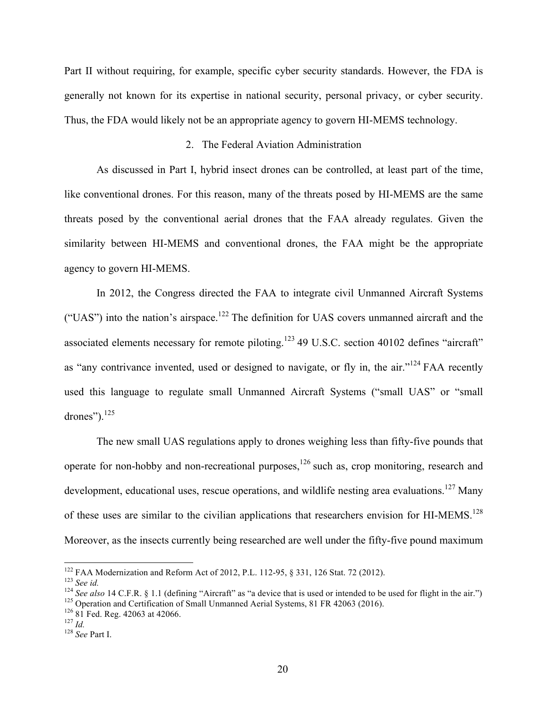Part II without requiring, for example, specific cyber security standards. However, the FDA is generally not known for its expertise in national security, personal privacy, or cyber security. Thus, the FDA would likely not be an appropriate agency to govern HI-MEMS technology.

#### 2. The Federal Aviation Administration

As discussed in Part I, hybrid insect drones can be controlled, at least part of the time, like conventional drones. For this reason, many of the threats posed by HI-MEMS are the same threats posed by the conventional aerial drones that the FAA already regulates. Given the similarity between HI-MEMS and conventional drones, the FAA might be the appropriate agency to govern HI-MEMS.

In 2012, the Congress directed the FAA to integrate civil Unmanned Aircraft Systems ("UAS") into the nation's airspace.<sup>122</sup> The definition for UAS covers unmanned aircraft and the associated elements necessary for remote piloting.<sup>123</sup> 49 U.S.C. section 40102 defines "aircraft" as "any contrivance invented, used or designed to navigate, or fly in, the air."<sup>124</sup> FAA recently used this language to regulate small Unmanned Aircraft Systems ("small UAS" or "small drones"). $^{125}$ 

The new small UAS regulations apply to drones weighing less than fifty-five pounds that operate for non-hobby and non-recreational purposes, $126$  such as, crop monitoring, research and development, educational uses, rescue operations, and wildlife nesting area evaluations.<sup>127</sup> Many of these uses are similar to the civilian applications that researchers envision for HI-MEMS.<sup>128</sup> Moreover, as the insects currently being researched are well under the fifty-five pound maximum

<sup>&</sup>lt;sup>122</sup> FAA Modernization and Reform Act of 2012, P.L. 112-95, § 331, 126 Stat. 72 (2012).<br><sup>123</sup> See id.<br><sup>124</sup> See also 14 C.F.R. § 1.1 (defining "Aircraft" as "a device that is used or intended to be used for flight in the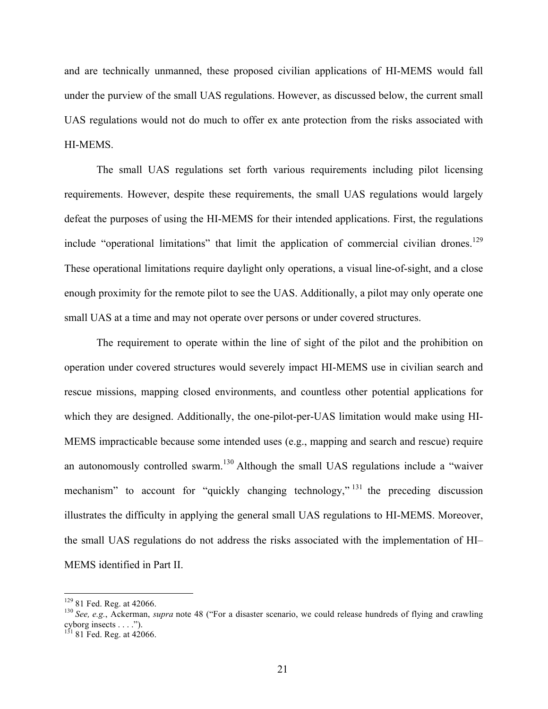and are technically unmanned, these proposed civilian applications of HI-MEMS would fall under the purview of the small UAS regulations. However, as discussed below, the current small UAS regulations would not do much to offer ex ante protection from the risks associated with HI-MEMS.

The small UAS regulations set forth various requirements including pilot licensing requirements. However, despite these requirements, the small UAS regulations would largely defeat the purposes of using the HI-MEMS for their intended applications. First, the regulations include "operational limitations" that limit the application of commercial civilian drones.<sup>129</sup> These operational limitations require daylight only operations, a visual line-of-sight, and a close enough proximity for the remote pilot to see the UAS. Additionally, a pilot may only operate one small UAS at a time and may not operate over persons or under covered structures.

The requirement to operate within the line of sight of the pilot and the prohibition on operation under covered structures would severely impact HI-MEMS use in civilian search and rescue missions, mapping closed environments, and countless other potential applications for which they are designed. Additionally, the one-pilot-per-UAS limitation would make using HI-MEMS impracticable because some intended uses (e.g., mapping and search and rescue) require an autonomously controlled swarm.<sup>130</sup> Although the small UAS regulations include a "waiver" mechanism" to account for "quickly changing technology," <sup>131</sup> the preceding discussion illustrates the difficulty in applying the general small UAS regulations to HI-MEMS. Moreover, the small UAS regulations do not address the risks associated with the implementation of HI– MEMS identified in Part II.

<sup>&</sup>lt;sup>129</sup> 81 Fed. Reg. at 42066.<br><sup>130</sup> *See, e.g.*, Ackerman, *supra* note 48 ("For a disaster scenario, we could release hundreds of flying and crawling cyborg insects . . . .").

 $131$  81 Fed. Reg. at 42066.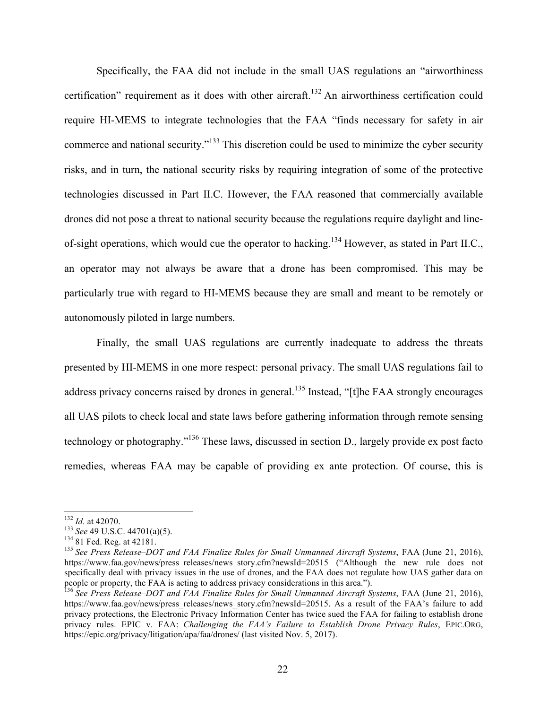Specifically, the FAA did not include in the small UAS regulations an "airworthiness certification" requirement as it does with other aircraft.<sup>132</sup> An airworthiness certification could require HI-MEMS to integrate technologies that the FAA "finds necessary for safety in air commerce and national security."133 This discretion could be used to minimize the cyber security risks, and in turn, the national security risks by requiring integration of some of the protective technologies discussed in Part II.C. However, the FAA reasoned that commercially available drones did not pose a threat to national security because the regulations require daylight and lineof-sight operations, which would cue the operator to hacking.<sup>134</sup> However, as stated in Part II.C., an operator may not always be aware that a drone has been compromised. This may be particularly true with regard to HI-MEMS because they are small and meant to be remotely or autonomously piloted in large numbers.

Finally, the small UAS regulations are currently inadequate to address the threats presented by HI-MEMS in one more respect: personal privacy. The small UAS regulations fail to address privacy concerns raised by drones in general.<sup>135</sup> Instead, "[t]he FAA strongly encourages all UAS pilots to check local and state laws before gathering information through remote sensing technology or photography."136 These laws, discussed in section D., largely provide ex post facto remedies, whereas FAA may be capable of providing ex ante protection. Of course, this is

<sup>&</sup>lt;sup>132</sup> *Id.* at 42070.<br><sup>133</sup> *See* 49 U.S.C. 44701(a)(5).<br><sup>134</sup> 81 Fed. Reg. at 42181.<br><sup>135</sup> *See Press Release–DOT and FAA Finalize Rules for Small Unmanned Aircraft Systems*, FAA (June 21, 2016), https://www.faa.gov/news/press\_releases/news\_story.cfm?newsId=20515 ("Although the new rule does not specifically deal with privacy issues in the use of drones, and the FAA does not regulate how UAS gather data on people or property, the FAA is acting to address privacy considerations in this area.").

<sup>136</sup> *See Press Release–DOT and FAA Finalize Rules for Small Unmanned Aircraft Systems*, FAA (June 21, 2016), https://www.faa.gov/news/press\_releases/news\_story.cfm?newsId=20515. As a result of the FAA's failure to add privacy protections, the Electronic Privacy Information Center has twice sued the FAA for failing to establish drone privacy rules. EPIC v. FAA: *Challenging the FAA's Failure to Establish Drone Privacy Rules*, EPIC.ORG, https://epic.org/privacy/litigation/apa/faa/drones/ (last visited Nov. 5, 2017).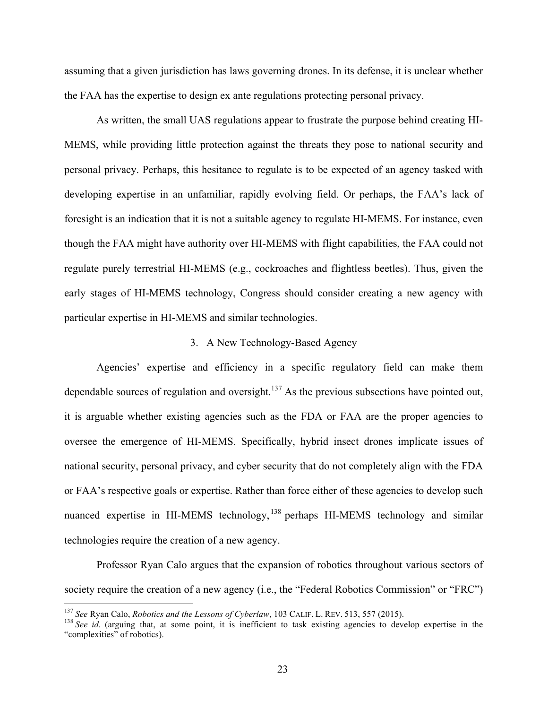assuming that a given jurisdiction has laws governing drones. In its defense, it is unclear whether the FAA has the expertise to design ex ante regulations protecting personal privacy.

As written, the small UAS regulations appear to frustrate the purpose behind creating HI-MEMS, while providing little protection against the threats they pose to national security and personal privacy. Perhaps, this hesitance to regulate is to be expected of an agency tasked with developing expertise in an unfamiliar, rapidly evolving field. Or perhaps, the FAA's lack of foresight is an indication that it is not a suitable agency to regulate HI-MEMS. For instance, even though the FAA might have authority over HI-MEMS with flight capabilities, the FAA could not regulate purely terrestrial HI-MEMS (e.g., cockroaches and flightless beetles). Thus, given the early stages of HI-MEMS technology, Congress should consider creating a new agency with particular expertise in HI-MEMS and similar technologies.

#### 3. A New Technology-Based Agency

Agencies' expertise and efficiency in a specific regulatory field can make them dependable sources of regulation and oversight. $137$  As the previous subsections have pointed out, it is arguable whether existing agencies such as the FDA or FAA are the proper agencies to oversee the emergence of HI-MEMS. Specifically, hybrid insect drones implicate issues of national security, personal privacy, and cyber security that do not completely align with the FDA or FAA's respective goals or expertise. Rather than force either of these agencies to develop such nuanced expertise in HI-MEMS technology, <sup>138</sup> perhaps HI-MEMS technology and similar technologies require the creation of a new agency.

Professor Ryan Calo argues that the expansion of robotics throughout various sectors of society require the creation of a new agency (i.e., the "Federal Robotics Commission" or "FRC")

<sup>&</sup>lt;sup>137</sup> See Ryan Calo, *Robotics and the Lessons of Cyberlaw*, 103 CALIF. L. REV. 513, 557 (2015).<br><sup>138</sup> See id. (arguing that, at some point, it is inefficient to task existing agencies to develop expertise in the "complexities" of robotics).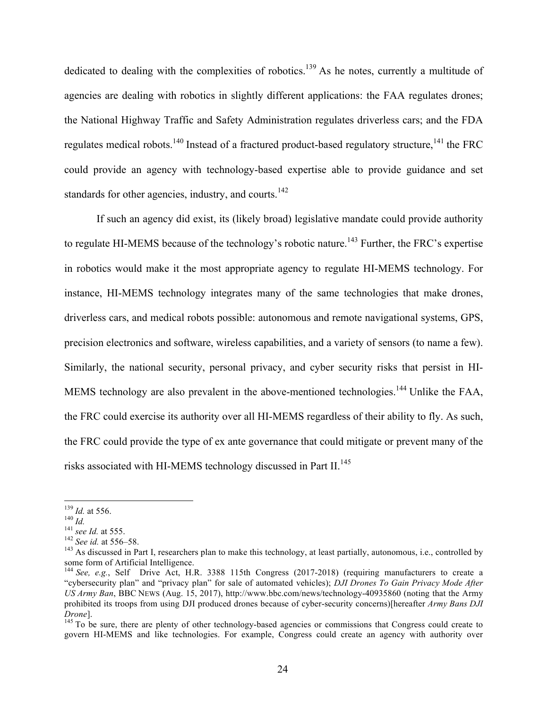dedicated to dealing with the complexities of robotics.<sup>139</sup> As he notes, currently a multitude of agencies are dealing with robotics in slightly different applications: the FAA regulates drones; the National Highway Traffic and Safety Administration regulates driverless cars; and the FDA regulates medical robots.<sup>140</sup> Instead of a fractured product-based regulatory structure,<sup>141</sup> the FRC could provide an agency with technology-based expertise able to provide guidance and set standards for other agencies, industry, and courts.<sup>142</sup>

If such an agency did exist, its (likely broad) legislative mandate could provide authority to regulate HI-MEMS because of the technology's robotic nature.<sup>143</sup> Further, the FRC's expertise in robotics would make it the most appropriate agency to regulate HI-MEMS technology. For instance, HI-MEMS technology integrates many of the same technologies that make drones, driverless cars, and medical robots possible: autonomous and remote navigational systems, GPS, precision electronics and software, wireless capabilities, and a variety of sensors (to name a few). Similarly, the national security, personal privacy, and cyber security risks that persist in HI-MEMS technology are also prevalent in the above-mentioned technologies.<sup>144</sup> Unlike the FAA, the FRC could exercise its authority over all HI-MEMS regardless of their ability to fly. As such, the FRC could provide the type of ex ante governance that could mitigate or prevent many of the risks associated with HI-MEMS technology discussed in Part II.<sup>145</sup>

<sup>&</sup>lt;sup>139</sup> *Id.* at 556.<br><sup>140</sup> *Id.*<br><sup>141</sup> *see Id.* at 555.<br><sup>142</sup> *See id.* at 556–58.<br><sup>143</sup> As discussed in Part I, researchers plan to make this technology, at least partially, autonomous, i.e., controlled by some form of Artificial Intelligence.

<sup>&</sup>lt;sup>144</sup> See, e.g., Self Drive Act, H.R. 3388 115th Congress (2017-2018) (requiring manufacturers to create a "cybersecurity plan" and "privacy plan" for sale of automated vehicles); *DJI Drones To Gain Privacy Mode After US Army Ban*, BBC NEWS (Aug. 15, 2017), http://www.bbc.com/news/technology-40935860 (noting that the Army prohibited its troops from using DJI produced drones because of cyber-security concerns)[hereafter *Army Bans DJI Drone*].<br><sup>145</sup> To be sure, there are plenty of other technology-based agencies or commissions that Congress could create to

govern HI-MEMS and like technologies. For example, Congress could create an agency with authority over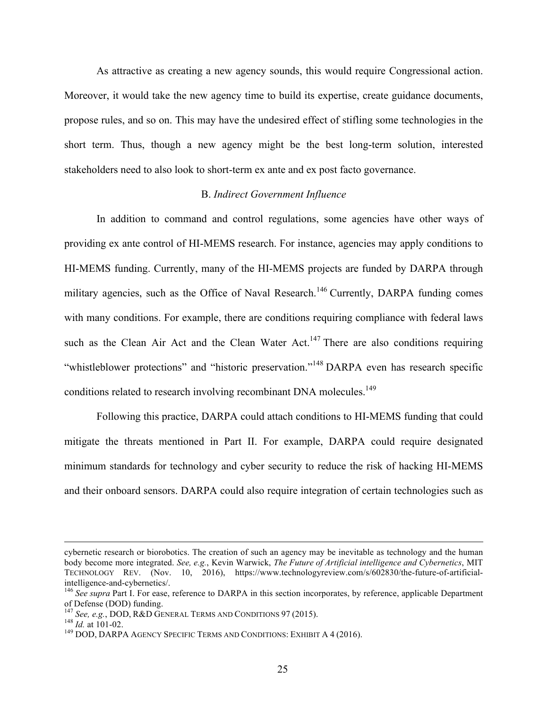As attractive as creating a new agency sounds, this would require Congressional action. Moreover, it would take the new agency time to build its expertise, create guidance documents, propose rules, and so on. This may have the undesired effect of stifling some technologies in the short term. Thus, though a new agency might be the best long-term solution, interested stakeholders need to also look to short-term ex ante and ex post facto governance.

#### B. *Indirect Government Influence*

In addition to command and control regulations, some agencies have other ways of providing ex ante control of HI-MEMS research. For instance, agencies may apply conditions to HI-MEMS funding. Currently, many of the HI-MEMS projects are funded by DARPA through military agencies, such as the Office of Naval Research.<sup>146</sup> Currently, DARPA funding comes with many conditions. For example, there are conditions requiring compliance with federal laws such as the Clean Air Act and the Clean Water Act.<sup>147</sup> There are also conditions requiring "whistleblower protections" and "historic preservation."<sup>148</sup> DARPA even has research specific conditions related to research involving recombinant DNA molecules.<sup>149</sup>

Following this practice, DARPA could attach conditions to HI-MEMS funding that could mitigate the threats mentioned in Part II. For example, DARPA could require designated minimum standards for technology and cyber security to reduce the risk of hacking HI-MEMS and their onboard sensors. DARPA could also require integration of certain technologies such as

cybernetic research or biorobotics. The creation of such an agency may be inevitable as technology and the human body become more integrated. *See, e.g.*, Kevin Warwick, *The Future of Artificial intelligence and Cybernetics*, MIT TECHNOLOGY REV. (Nov. 10, 2016), https://www.technologyreview.com/s/602830/the-future-of-artificial-<br>intelligence-and-cybernetics/.

<sup>&</sup>lt;sup>146</sup> See supra Part I. For ease, reference to DARPA in this section incorporates, by reference, applicable Department of Defense (DOD) funding.<br><sup>147</sup> See, e.g., DOD, R&D GENERAL TERMS AND CONDITIONS 97 (2015).

<sup>&</sup>lt;sup>148</sup> *Id.* at 101-02.<br><sup>149</sup> DOD, DARPA AGENCY SPECIFIC TERMS AND CONDITIONS: EXHIBIT A 4 (2016).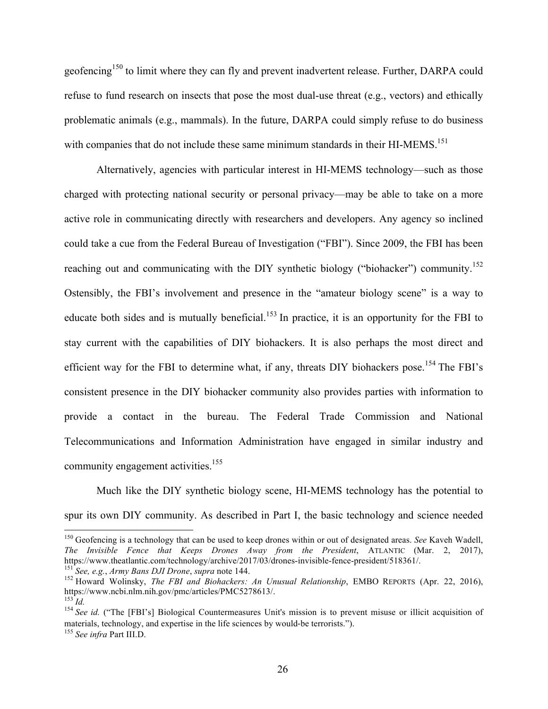geofencing<sup>150</sup> to limit where they can fly and prevent inadvertent release. Further, DARPA could refuse to fund research on insects that pose the most dual-use threat (e.g., vectors) and ethically problematic animals (e.g., mammals). In the future, DARPA could simply refuse to do business with companies that do not include these same minimum standards in their HI-MEMS.<sup>151</sup>

Alternatively, agencies with particular interest in HI-MEMS technology––such as those charged with protecting national security or personal privacy—may be able to take on a more active role in communicating directly with researchers and developers. Any agency so inclined could take a cue from the Federal Bureau of Investigation ("FBI"). Since 2009, the FBI has been reaching out and communicating with the DIY synthetic biology ("biohacker") community.<sup>152</sup> Ostensibly, the FBI's involvement and presence in the "amateur biology scene" is a way to educate both sides and is mutually beneficial.<sup>153</sup> In practice, it is an opportunity for the FBI to stay current with the capabilities of DIY biohackers. It is also perhaps the most direct and efficient way for the FBI to determine what, if any, threats DIY biohackers pose.<sup>154</sup> The FBI's consistent presence in the DIY biohacker community also provides parties with information to provide a contact in the bureau. The Federal Trade Commission and National Telecommunications and Information Administration have engaged in similar industry and community engagement activities.<sup>155</sup>

Much like the DIY synthetic biology scene, HI-MEMS technology has the potential to spur its own DIY community. As described in Part I, the basic technology and science needed

<sup>&</sup>lt;sup>150</sup> Geofencing is a technology that can be used to keep drones within or out of designated areas. *See* Kaveh Wadell, *The Invisible Fence that Keeps Drones Away from the President*, ATLANTIC (Mar. 2, 2017), https://www.theatlantic.com/technology/archive/2017/03/drones-invisible-fence-president/518361/.

<sup>&</sup>lt;sup>151</sup> See, e.g., Army Bans DJI Drone, supra note 144.<br><sup>152</sup> Howard Wolinsky, *The FBI and Biohackers: An Unusual Relationship*, EMBO REPORTS (Apr. 22, 2016), https://www.ncbi.nlm.nih.gov/pmc/articles/PMC5278613/.

https://d.<br><sup>154</sup> *See id.* ("The [FBI's] Biological Countermeasures Unit's mission is to prevent misuse or illicit acquisition of materials, technology, and expertise in the life sciences by would-be terrorists.").

<sup>155</sup> *See infra* Part III.D.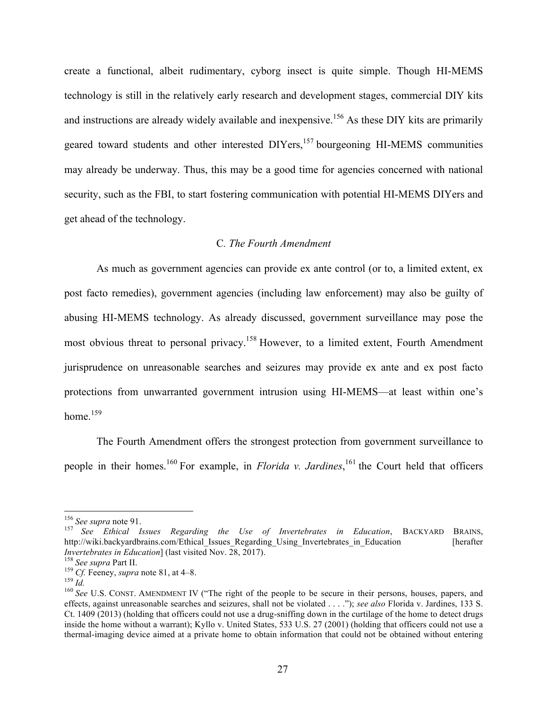create a functional, albeit rudimentary, cyborg insect is quite simple. Though HI-MEMS technology is still in the relatively early research and development stages, commercial DIY kits and instructions are already widely available and inexpensive.<sup>156</sup> As these DIY kits are primarily geared toward students and other interested  $DIPers$ ,  $157$  bourgeoning HI-MEMS communities may already be underway. Thus, this may be a good time for agencies concerned with national security, such as the FBI, to start fostering communication with potential HI-MEMS DIYers and get ahead of the technology.

#### C*. The Fourth Amendment*

As much as government agencies can provide ex ante control (or to, a limited extent, ex post facto remedies), government agencies (including law enforcement) may also be guilty of abusing HI-MEMS technology. As already discussed, government surveillance may pose the most obvious threat to personal privacy.<sup>158</sup> However, to a limited extent, Fourth Amendment jurisprudence on unreasonable searches and seizures may provide ex ante and ex post facto protections from unwarranted government intrusion using HI-MEMS––at least within one's home $159$ 

The Fourth Amendment offers the strongest protection from government surveillance to people in their homes.<sup>160</sup> For example, in *Florida v. Jardines*, <sup>161</sup> the Court held that officers

<sup>&</sup>lt;sup>156</sup> See supra note 91.<br><sup>157</sup> See Ethical Issues Regarding the Use of Invertebrates in Education, BACKYARD BRAINS, http://wiki.backyardbrains.com/Ethical Issues Regarding Using Invertebrates in Education [herafter] Invertebrates in Education] (last visited Nov. 28, 2017).<br>
<sup>158</sup> See supra Part II.<br>
<sup>159</sup> Cf. Feeney, *supra* note 81, at 4–8.<br>
<sup>159</sup> *Id.*<br>
<sup>160</sup> See U.S. CONST. AMENDMENT IV ("The right of the people to be secure in the

effects, against unreasonable searches and seizures, shall not be violated . . . ."); *see also* Florida v. Jardines, 133 S. Ct. 1409 (2013) (holding that officers could not use a drug-sniffing down in the curtilage of the home to detect drugs inside the home without a warrant); Kyllo v. United States, 533 U.S. 27 (2001) (holding that officers could not use a thermal-imaging device aimed at a private home to obtain information that could not be obtained without entering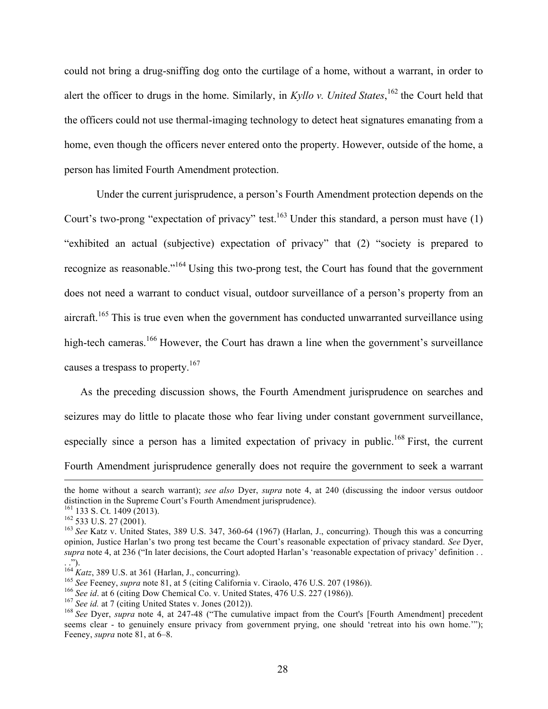could not bring a drug-sniffing dog onto the curtilage of a home, without a warrant, in order to alert the officer to drugs in the home. Similarly, in *Kyllo v. United States*, <sup>162</sup> the Court held that the officers could not use thermal-imaging technology to detect heat signatures emanating from a home, even though the officers never entered onto the property. However, outside of the home, a person has limited Fourth Amendment protection.

Under the current jurisprudence, a person's Fourth Amendment protection depends on the Court's two-prong "expectation of privacy" test.<sup>163</sup> Under this standard, a person must have (1) "exhibited an actual (subjective) expectation of privacy" that (2) "society is prepared to recognize as reasonable."<sup>164</sup> Using this two-prong test, the Court has found that the government does not need a warrant to conduct visual, outdoor surveillance of a person's property from an aircraft.<sup>165</sup> This is true even when the government has conducted unwarranted surveillance using high-tech cameras.<sup>166</sup> However, the Court has drawn a line when the government's surveillance causes a trespass to property.<sup>167</sup>

As the preceding discussion shows, the Fourth Amendment jurisprudence on searches and seizures may do little to placate those who fear living under constant government surveillance, especially since a person has a limited expectation of privacy in public.<sup>168</sup> First, the current Fourth Amendment jurisprudence generally does not require the government to seek a warrant

<u>.</u>

the home without a search warrant); *see also* Dyer, *supra* note 4, at 240 (discussing the indoor versus outdoor distinction in the Supreme Court's Fourth Amendment jurisprudence).<br><sup>161</sup> 133 S. Ct. 1409 (2013).

<sup>161</sup> 133 S. Ct. 1409 (2013). <sup>162</sup> 533 U.S. 27 (2001). 163 *See* Katz v. United States, 389 U.S. 347, 360-64 (1967) (Harlan, J., concurring). Though this was a concurring opinion, Justice Harlan's two prong test became the Court's reasonable expectation of privacy standard. *See* Dyer, *supra* note 4, at 236 ("In later decisions, the Court adopted Harlan's 'reasonable expectation of privacy' definition . . ...").<br> $^{164}$ Katz, 389 U.S. at 361 (Harlan, J., concurring).

<sup>&</sup>lt;sup>165</sup> See Feeney, *supra* note 81, at 5 (citing California v. Ciraolo, 476 U.S. 207 (1986)).<br>
<sup>166</sup> See id. at 6 (citing Dow Chemical Co. v. United States, 476 U.S. 227 (1986)).<br>
<sup>167</sup> See id. at 7 (citing United States v seems clear - to genuinely ensure privacy from government prying, one should 'retreat into his own home.'"); Feeney, *supra* note 81, at 6–8.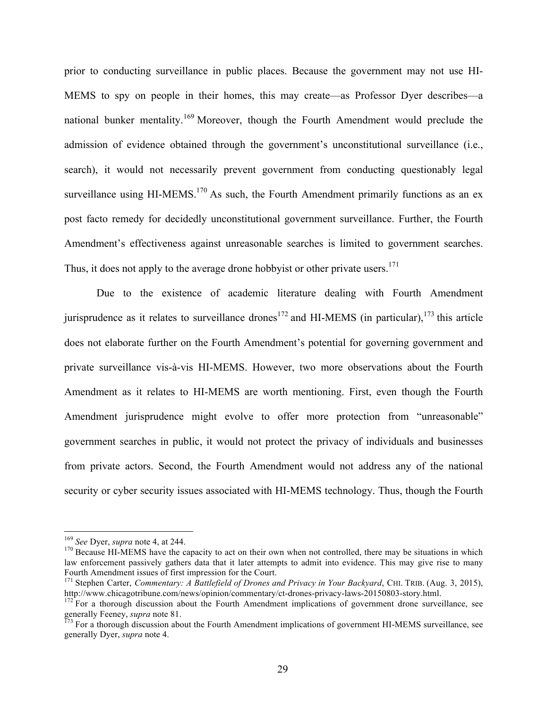prior to conducting surveillance in public places. Because the government may not use HI-MEMS to spy on people in their homes, this may create––as Professor Dyer describes––a national bunker mentality.<sup>169</sup> Moreover, though the Fourth Amendment would preclude the admission of evidence obtained through the government's unconstitutional surveillance (i.e., search), it would not necessarily prevent government from conducting questionably legal surveillance using HI-MEMS.<sup>170</sup> As such, the Fourth Amendment primarily functions as an ex post facto remedy for decidedly unconstitutional government surveillance. Further, the Fourth Amendment's effectiveness against unreasonable searches is limited to government searches. Thus, it does not apply to the average drone hobbyist or other private users.<sup>171</sup>

Due to the existence of academic literature dealing with Fourth Amendment jurisprudence as it relates to surveillance drones<sup>172</sup> and HI-MEMS (in particular),<sup>173</sup> this article does not elaborate further on the Fourth Amendment's potential for governing government and private surveillance vis-à-vis HI-MEMS. However, two more observations about the Fourth Amendment as it relates to HI-MEMS are worth mentioning. First, even though the Fourth Amendment jurisprudence might evolve to offer more protection from "unreasonable" government searches in public, it would not protect the privacy of individuals and businesses from private actors. Second, the Fourth Amendment would not address any of the national security or cyber security issues associated with HI-MEMS technology. Thus, though the Fourth

<sup>&</sup>lt;sup>169</sup> *See* Dyer, *supra* note 4, at 244.<br><sup>170</sup> Because HI-MEMS have the capacity to act on their own when not controlled, there may be situations in which law enforcement passively gathers data that it later attempts to admit into evidence. This may give rise to many Fourth Amendment issues of first impression for the Court.

<sup>&</sup>lt;sup>171</sup> Stephen Carter, *Commentary: A Battlefield of Drones and Privacy in Your Backyard*, CHI. TRIB. (Aug. 3, 2015), http://www.chicagotribune.com/news/opinion/commentary/ct-drones-privacy-laws-20150803-story.html. 172 For a thorough discussion about the Fourth Amendment implications of government drone surveillance, see

generally Feeney, *supra* note 81.<br><sup>173</sup> For a thorough discussion about the Fourth Amendment implications of government HI-MEMS surveillance, see

generally Dyer, *supra* note 4.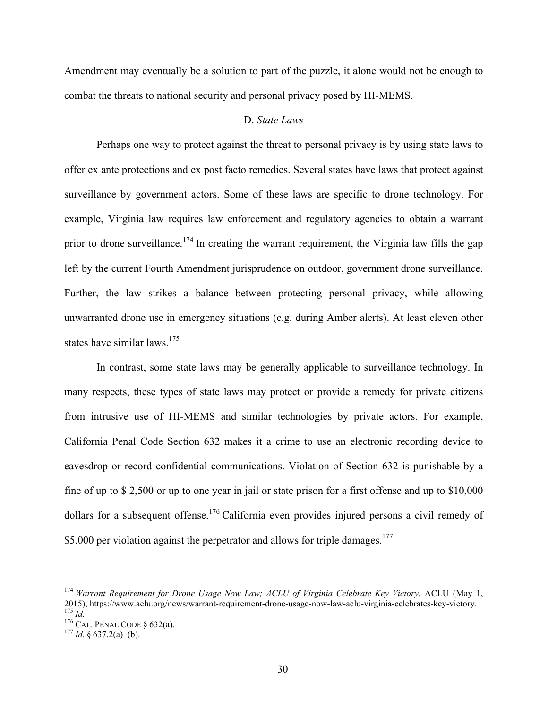Amendment may eventually be a solution to part of the puzzle, it alone would not be enough to combat the threats to national security and personal privacy posed by HI-MEMS.

## D. *State Laws*

Perhaps one way to protect against the threat to personal privacy is by using state laws to offer ex ante protections and ex post facto remedies. Several states have laws that protect against surveillance by government actors. Some of these laws are specific to drone technology. For example, Virginia law requires law enforcement and regulatory agencies to obtain a warrant prior to drone surveillance.<sup>174</sup> In creating the warrant requirement, the Virginia law fills the gap left by the current Fourth Amendment jurisprudence on outdoor, government drone surveillance. Further, the law strikes a balance between protecting personal privacy, while allowing unwarranted drone use in emergency situations (e.g. during Amber alerts). At least eleven other states have similar laws.<sup>175</sup>

In contrast, some state laws may be generally applicable to surveillance technology. In many respects, these types of state laws may protect or provide a remedy for private citizens from intrusive use of HI-MEMS and similar technologies by private actors. For example, California Penal Code Section 632 makes it a crime to use an electronic recording device to eavesdrop or record confidential communications. Violation of Section 632 is punishable by a fine of up to \$ 2,500 or up to one year in jail or state prison for a first offense and up to \$10,000 dollars for a subsequent offense.<sup>176</sup> California even provides injured persons a civil remedy of \$5,000 per violation against the perpetrator and allows for triple damages.<sup>177</sup>

 <sup>174</sup> *Warrant Requirement for Drone Usage Now Law; ACLU of Virginia Celebrate Key Victory*, ACLU (May 1, 2015), https://www.aclu.org/news/warrant-requirement-drone-usage-now-law-aclu-virginia-celebrates-key-victory.<br><sup>175</sup> *Id.*<br><sup>176</sup> CAL. PENAL CODE § 632(a).<br><sup>176</sup> *Id.* § 637.2(a)–(b).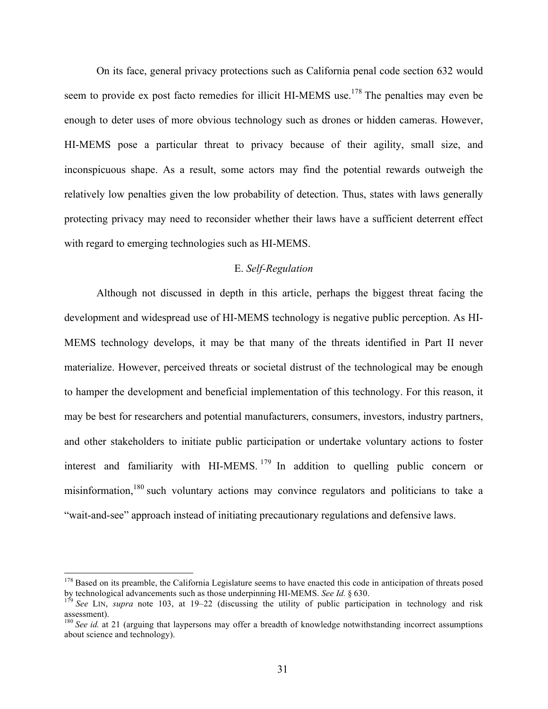On its face, general privacy protections such as California penal code section 632 would seem to provide ex post facto remedies for illicit HI-MEMS use.<sup>178</sup> The penalties may even be enough to deter uses of more obvious technology such as drones or hidden cameras. However, HI-MEMS pose a particular threat to privacy because of their agility, small size, and inconspicuous shape. As a result, some actors may find the potential rewards outweigh the relatively low penalties given the low probability of detection. Thus, states with laws generally protecting privacy may need to reconsider whether their laws have a sufficient deterrent effect with regard to emerging technologies such as HI-MEMS.

#### E. *Self-Regulation*

Although not discussed in depth in this article, perhaps the biggest threat facing the development and widespread use of HI-MEMS technology is negative public perception. As HI-MEMS technology develops, it may be that many of the threats identified in Part II never materialize. However, perceived threats or societal distrust of the technological may be enough to hamper the development and beneficial implementation of this technology. For this reason, it may be best for researchers and potential manufacturers, consumers, investors, industry partners, and other stakeholders to initiate public participation or undertake voluntary actions to foster interest and familiarity with HI-MEMS.<sup>179</sup> In addition to quelling public concern or misinformation,<sup>180</sup> such voluntary actions may convince regulators and politicians to take a "wait-and-see" approach instead of initiating precautionary regulations and defensive laws.

 $178$  Based on its preamble, the California Legislature seems to have enacted this code in anticipation of threats posed by technological advancements such as those underpinning HI-MEMS. *See Id.* § 630.<br><sup>179</sup> *See LIN, supra* note 103, at 19–22 (discussing the utility of public participation in technology and risk

assessment).

<sup>&</sup>lt;sup>180</sup> See id. at 21 (arguing that laypersons may offer a breadth of knowledge notwithstanding incorrect assumptions about science and technology).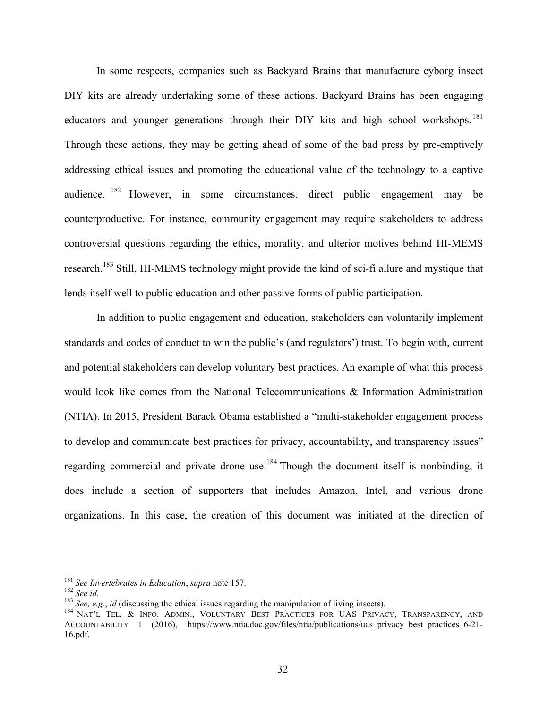In some respects, companies such as Backyard Brains that manufacture cyborg insect DIY kits are already undertaking some of these actions. Backyard Brains has been engaging educators and younger generations through their DIY kits and high school workshops.<sup>181</sup> Through these actions, they may be getting ahead of some of the bad press by pre-emptively addressing ethical issues and promoting the educational value of the technology to a captive audience. <sup>182</sup> However, in some circumstances, direct public engagement may be counterproductive. For instance, community engagement may require stakeholders to address controversial questions regarding the ethics, morality, and ulterior motives behind HI-MEMS research.<sup>183</sup> Still, HI-MEMS technology might provide the kind of sci-fi allure and mystique that lends itself well to public education and other passive forms of public participation.

In addition to public engagement and education, stakeholders can voluntarily implement standards and codes of conduct to win the public's (and regulators') trust. To begin with, current and potential stakeholders can develop voluntary best practices. An example of what this process would look like comes from the National Telecommunications & Information Administration (NTIA). In 2015, President Barack Obama established a "multi-stakeholder engagement process to develop and communicate best practices for privacy, accountability, and transparency issues" regarding commercial and private drone use.<sup>184</sup> Though the document itself is nonbinding, it does include a section of supporters that includes Amazon, Intel, and various drone organizations. In this case, the creation of this document was initiated at the direction of

<sup>&</sup>lt;sup>181</sup> See Invertebrates in Education, supra note 157.<br><sup>182</sup> See id.<br><sup>183</sup> See, e.g., id (discussing the ethical issues regarding the manipulation of living insects).<br><sup>184</sup> NAT'L TEL. & INFO. ADMIN., VOLUNTARY BEST PRACTIC ACCOUNTABILITY 1 (2016), https://www.ntia.doc.gov/files/ntia/publications/uas privacy best practices 6-21-16.pdf.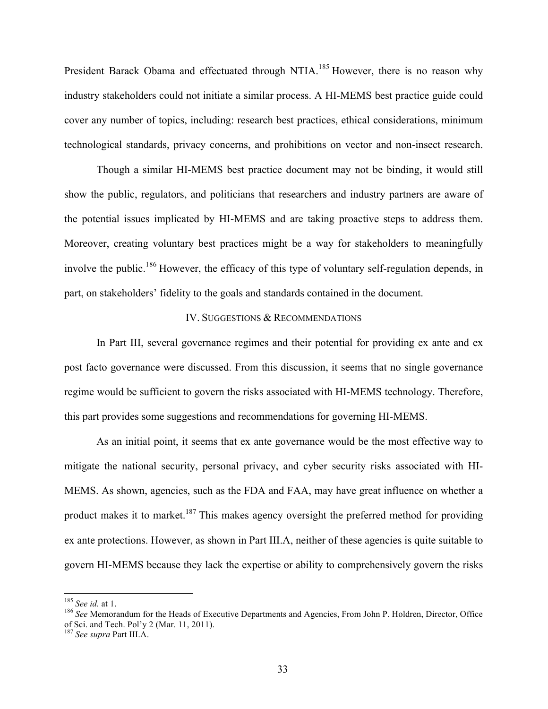President Barack Obama and effectuated through NTIA.<sup>185</sup> However, there is no reason why industry stakeholders could not initiate a similar process. A HI-MEMS best practice guide could cover any number of topics, including: research best practices, ethical considerations, minimum technological standards, privacy concerns, and prohibitions on vector and non-insect research.

Though a similar HI-MEMS best practice document may not be binding, it would still show the public, regulators, and politicians that researchers and industry partners are aware of the potential issues implicated by HI-MEMS and are taking proactive steps to address them. Moreover, creating voluntary best practices might be a way for stakeholders to meaningfully involve the public.<sup>186</sup> However, the efficacy of this type of voluntary self-regulation depends, in part, on stakeholders' fidelity to the goals and standards contained in the document.

## IV. SUGGESTIONS & RECOMMENDATIONS

In Part III, several governance regimes and their potential for providing ex ante and ex post facto governance were discussed. From this discussion, it seems that no single governance regime would be sufficient to govern the risks associated with HI-MEMS technology. Therefore, this part provides some suggestions and recommendations for governing HI-MEMS.

As an initial point, it seems that ex ante governance would be the most effective way to mitigate the national security, personal privacy, and cyber security risks associated with HI-MEMS. As shown, agencies, such as the FDA and FAA, may have great influence on whether a product makes it to market.<sup>187</sup> This makes agency oversight the preferred method for providing ex ante protections. However, as shown in Part III.A, neither of these agencies is quite suitable to govern HI-MEMS because they lack the expertise or ability to comprehensively govern the risks

<sup>&</sup>lt;sup>185</sup> *See id.* at 1.<br><sup>186</sup> *See* Memorandum for the Heads of Executive Departments and Agencies, From John P. Holdren, Director, Office of Sci. and Tech. Pol'y 2 (Mar. 11, 2011). 187 *See supra* Part III.A.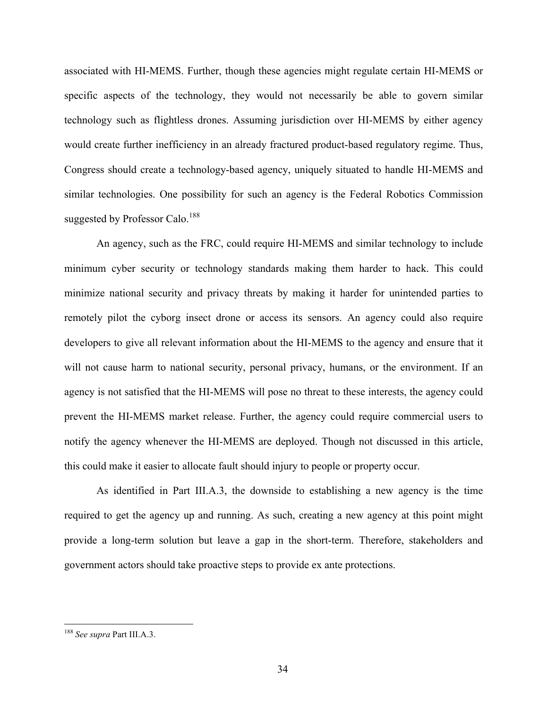associated with HI-MEMS. Further, though these agencies might regulate certain HI-MEMS or specific aspects of the technology, they would not necessarily be able to govern similar technology such as flightless drones. Assuming jurisdiction over HI-MEMS by either agency would create further inefficiency in an already fractured product-based regulatory regime. Thus, Congress should create a technology-based agency, uniquely situated to handle HI-MEMS and similar technologies. One possibility for such an agency is the Federal Robotics Commission suggested by Professor Calo.<sup>188</sup>

An agency, such as the FRC, could require HI-MEMS and similar technology to include minimum cyber security or technology standards making them harder to hack. This could minimize national security and privacy threats by making it harder for unintended parties to remotely pilot the cyborg insect drone or access its sensors. An agency could also require developers to give all relevant information about the HI-MEMS to the agency and ensure that it will not cause harm to national security, personal privacy, humans, or the environment. If an agency is not satisfied that the HI-MEMS will pose no threat to these interests, the agency could prevent the HI-MEMS market release. Further, the agency could require commercial users to notify the agency whenever the HI-MEMS are deployed. Though not discussed in this article, this could make it easier to allocate fault should injury to people or property occur.

As identified in Part III.A.3, the downside to establishing a new agency is the time required to get the agency up and running. As such, creating a new agency at this point might provide a long-term solution but leave a gap in the short-term. Therefore, stakeholders and government actors should take proactive steps to provide ex ante protections.

 <sup>188</sup> *See supra* Part III.A.3.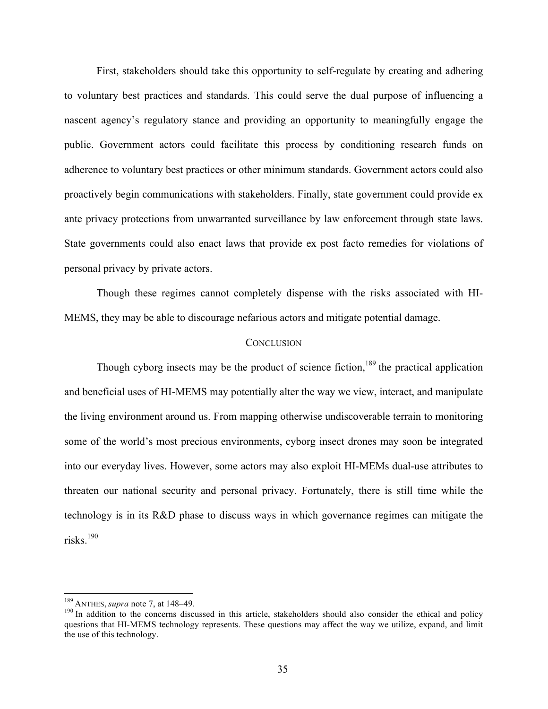First, stakeholders should take this opportunity to self-regulate by creating and adhering to voluntary best practices and standards. This could serve the dual purpose of influencing a nascent agency's regulatory stance and providing an opportunity to meaningfully engage the public. Government actors could facilitate this process by conditioning research funds on adherence to voluntary best practices or other minimum standards. Government actors could also proactively begin communications with stakeholders. Finally, state government could provide ex ante privacy protections from unwarranted surveillance by law enforcement through state laws. State governments could also enact laws that provide ex post facto remedies for violations of personal privacy by private actors.

Though these regimes cannot completely dispense with the risks associated with HI-MEMS, they may be able to discourage nefarious actors and mitigate potential damage.

#### **CONCLUSION**

Though cyborg insects may be the product of science fiction,<sup>189</sup> the practical application and beneficial uses of HI-MEMS may potentially alter the way we view, interact, and manipulate the living environment around us. From mapping otherwise undiscoverable terrain to monitoring some of the world's most precious environments, cyborg insect drones may soon be integrated into our everyday lives. However, some actors may also exploit HI-MEMs dual-use attributes to threaten our national security and personal privacy. Fortunately, there is still time while the technology is in its R&D phase to discuss ways in which governance regimes can mitigate the risks.<sup>190</sup>

<sup>&</sup>lt;sup>189</sup> ANTHES, *supra* note 7, at 148–49.<br><sup>190</sup> In addition to the concerns discussed in this article, stakeholders should also consider the ethical and policy questions that HI-MEMS technology represents. These questions may affect the way we utilize, expand, and limit the use of this technology.